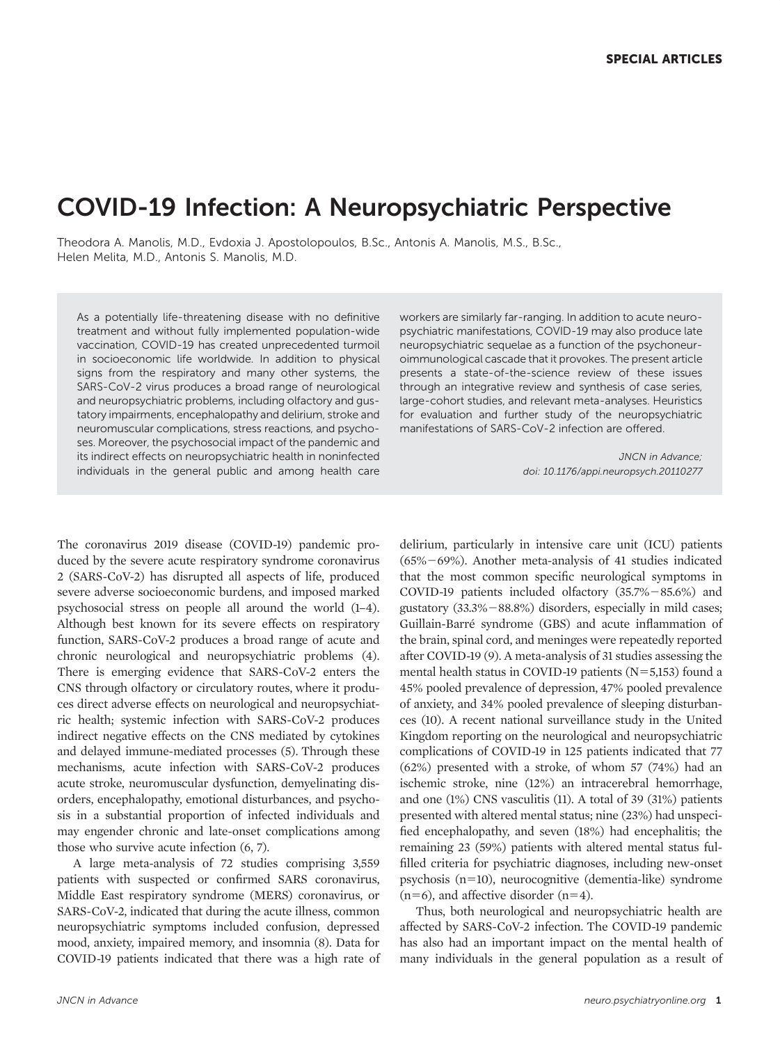# COVID-19 Infection: A Neuropsychiatric Perspective

Theodora A. Manolis, M.D., Evdoxia J. Apostolopoulos, B.Sc., Antonis A. Manolis, M.S., B.Sc., Helen Melita, M.D., Antonis S. Manolis, M.D.

As a potentially life-threatening disease with no definitive treatment and without fully implemented population-wide vaccination, COVID-19 has created unprecedented turmoil in socioeconomic life worldwide. In addition to physical signs from the respiratory and many other systems, the SARS-CoV-2 virus produces a broad range of neurological and neuropsychiatric problems, including olfactory and gustatory impairments, encephalopathy and delirium, stroke and neuromuscular complications, stress reactions, and psychoses. Moreover, the psychosocial impact of the pandemic and its indirect effects on neuropsychiatric health in noninfected individuals in the general public and among health care

The coronavirus 2019 disease (COVID-19) pandemic produced by the severe acute respiratory syndrome coronavirus 2 (SARS-CoV-2) has disrupted all aspects of life, produced severe adverse socioeconomic burdens, and imposed marked psychosocial stress on people all around the world [\(1](#page-11-0)[–](#page-11-0)[4](#page-11-0)). Although best known for its severe effects on respiratory function, SARS-CoV-2 produces a broad range of acute and chronic neurological and neuropsychiatric problems ([4](#page-11-0)). There is emerging evidence that SARS-CoV-2 enters the CNS through olfactory or circulatory routes, where it produces direct adverse effects on neurological and neuropsychiatric health; systemic infection with SARS-CoV-2 produces indirect negative effects on the CNS mediated by cytokines and delayed immune-mediated processes [\(5](#page-11-0)). Through these mechanisms, acute infection with SARS-CoV-2 produces acute stroke, neuromuscular dysfunction, demyelinating disorders, encephalopathy, emotional disturbances, and psychosis in a substantial proportion of infected individuals and may engender chronic and late-onset complications among those who survive acute infection [\(6, 7\)](#page-11-0).

A large meta-analysis of 72 studies comprising 3,559 patients with suspected or confirmed SARS coronavirus, Middle East respiratory syndrome (MERS) coronavirus, or SARS-CoV-2, indicated that during the acute illness, common neuropsychiatric symptoms included confusion, depressed mood, anxiety, impaired memory, and insomnia [\(8\)](#page-11-0). Data for COVID-19 patients indicated that there was a high rate of workers are similarly far-ranging. In addition to acute neuropsychiatric manifestations, COVID-19 may also produce late neuropsychiatric sequelae as a function of the psychoneuroimmunological cascade that it provokes. The present article presents a state-of-the-science review of these issues through an integrative review and synthesis of case series, large-cohort studies, and relevant meta-analyses. Heuristics for evaluation and further study of the neuropsychiatric manifestations of SARS-CoV-2 infection are offered.

> JNCN in Advance; doi: 10.1176/appi.neuropsych.20110277

delirium, particularly in intensive care unit (ICU) patients  $(65\% - 69\%)$ . Another meta-analysis of 41 studies indicated that the most common specific neurological symptoms in COVID-19 patients included olfactory  $(35.7\% - 85.6\%)$  and gustatory  $(33.3\% - 88.8\%)$  disorders, especially in mild cases; Guillain-Barre syndrome (GBS) and acute inflammation of the brain, spinal cord, and meninges were repeatedly reported after COVID-19 [\(9\)](#page-12-0). A meta-analysis of 31 studies assessing the mental health status in COVID-19 patients  $(N=5,153)$  found a 45% pooled prevalence of depression, 47% pooled prevalence of anxiety, and 34% pooled prevalence of sleeping disturbances [\(10\)](#page-12-0). A recent national surveillance study in the United Kingdom reporting on the neurological and neuropsychiatric complications of COVID-19 in 125 patients indicated that 77 (62%) presented with a stroke, of whom 57 (74%) had an ischemic stroke, nine (12%) an intracerebral hemorrhage, and one (1%) CNS vasculitis [\(11](#page-12-0)). A total of 39 (31%) patients presented with altered mental status; nine (23%) had unspecified encephalopathy, and seven (18%) had encephalitis; the remaining 23 (59%) patients with altered mental status fulfilled criteria for psychiatric diagnoses, including new-onset psychosis (n510), neurocognitive (dementia-like) syndrome  $(n=6)$ , and affective disorder  $(n=4)$ .

Thus, both neurological and neuropsychiatric health are affected by SARS-CoV-2 infection. The COVID-19 pandemic has also had an important impact on the mental health of many individuals in the general population as a result of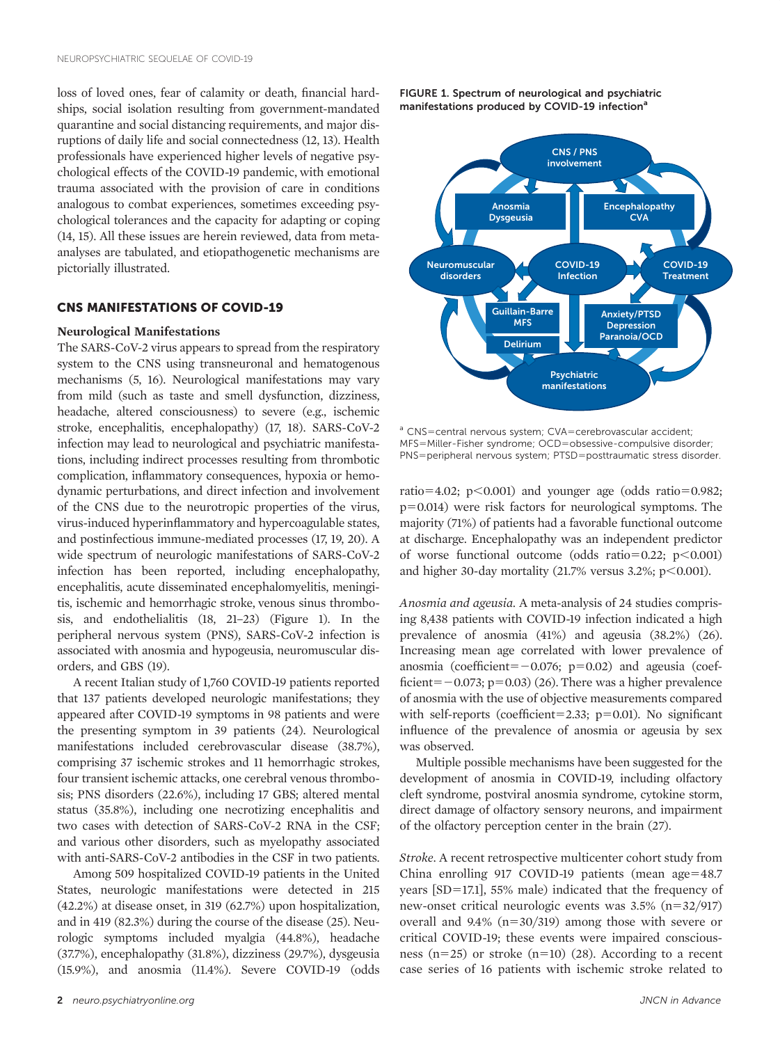loss of loved ones, fear of calamity or death, financial hardships, social isolation resulting from government-mandated quarantine and social distancing requirements, and major disruptions of daily life and social connectedness ([12, 13](#page-12-0)). Health professionals have experienced higher levels of negative psychological effects of the COVID-19 pandemic, with emotional trauma associated with the provision of care in conditions analogous to combat experiences, sometimes exceeding psychological tolerances and the capacity for adapting or coping [\(14](#page-12-0), [15\)](#page-12-0). All these issues are herein reviewed, data from metaanalyses are tabulated, and etiopathogenetic mechanisms are pictorially illustrated.

# CNS MANIFESTATIONS OF COVID-19

### Neurological Manifestations

The SARS-CoV-2 virus appears to spread from the respiratory system to the CNS using transneuronal and hematogenous mechanisms ([5](#page-11-0), [16](#page-12-0)). Neurological manifestations may vary from mild (such as taste and smell dysfunction, dizziness, headache, altered consciousness) to severe (e.g., ischemic stroke, encephalitis, encephalopathy) [\(17, 18](#page-12-0)). SARS-CoV-2 infection may lead to neurological and psychiatric manifestations, including indirect processes resulting from thrombotic complication, inflammatory consequences, hypoxia or hemodynamic perturbations, and direct infection and involvement of the CNS due to the neurotropic properties of the virus, virus-induced hyperinflammatory and hypercoagulable states, and postinfectious immune-mediated processes ([17, 19, 20\)](#page-12-0). A wide spectrum of neurologic manifestations of SARS-CoV-2 infection has been reported, including encephalopathy, encephalitis, acute disseminated encephalomyelitis, meningitis, ischemic and hemorrhagic stroke, venous sinus thrombosis, and endothelialitis ([18, 21](#page-12-0)[–](#page-12-0)[23](#page-12-0)) (Figure 1). In the peripheral nervous system (PNS), SARS-CoV-2 infection is associated with anosmia and hypogeusia, neuromuscular disorders, and GBS ([19](#page-12-0)).

A recent Italian study of 1,760 COVID-19 patients reported that 137 patients developed neurologic manifestations; they appeared after COVID-19 symptoms in 98 patients and were the presenting symptom in 39 patients [\(24](#page-12-0)). Neurological manifestations included cerebrovascular disease (38.7%), comprising 37 ischemic strokes and 11 hemorrhagic strokes, four transient ischemic attacks, one cerebral venous thrombosis; PNS disorders (22.6%), including 17 GBS; altered mental status (35.8%), including one necrotizing encephalitis and two cases with detection of SARS-CoV-2 RNA in the CSF; and various other disorders, such as myelopathy associated with anti-SARS-CoV-2 antibodies in the CSF in two patients.

Among 509 hospitalized COVID-19 patients in the United States, neurologic manifestations were detected in 215 (42.2%) at disease onset, in 319 (62.7%) upon hospitalization, and in 419 (82.3%) during the course of the disease [\(25](#page-12-0)). Neurologic symptoms included myalgia (44.8%), headache (37.7%), encephalopathy (31.8%), dizziness (29.7%), dysgeusia (15.9%), and anosmia (11.4%). Severe COVID-19 (odds FIGURE 1. Spectrum of neurological and psychiatric manifestations produced by COVID-19 infection<sup>a</sup>



<sup>a</sup> CNS=central nervous system; CVA=cerebrovascular accident; MFS=Miller-Fisher syndrome; OCD=obsessive-compulsive disorder; PNS=peripheral nervous system; PTSD=posttraumatic stress disorder.

ratio=4.02; p $<$ 0.001) and younger age (odds ratio=0.982;  $p=0.014$ ) were risk factors for neurological symptoms. The majority (71%) of patients had a favorable functional outcome at discharge. Encephalopathy was an independent predictor of worse functional outcome (odds ratio=0.22; p $<0.001$ ) and higher 30-day mortality  $(21.7\% \text{ versus } 3.2\%; \text{ p} < 0.001).$ 

Anosmia and ageusia. A meta-analysis of 24 studies comprising 8,438 patients with COVID-19 infection indicated a high prevalence of anosmia (41%) and ageusia (38.2%) [\(26\)](#page-12-0). Increasing mean age correlated with lower prevalence of anosmia (coefficient= $-0.076$ ; p=0.02) and ageusia (coefficient= $-0.073$ ; p=0.03) [\(26\)](#page-12-0). There was a higher prevalence of anosmia with the use of objective measurements compared with self-reports (coefficient=2.33;  $p=0.01$ ). No significant influence of the prevalence of anosmia or ageusia by sex was observed.

Multiple possible mechanisms have been suggested for the development of anosmia in COVID-19, including olfactory cleft syndrome, postviral anosmia syndrome, cytokine storm, direct damage of olfactory sensory neurons, and impairment of the olfactory perception center in the brain [\(27](#page-12-0)).

Stroke. A recent retrospective multicenter cohort study from China enrolling 917 COVID-19 patients (mean age= $48.7$ years [SD=17.1], 55% male) indicated that the frequency of new-onset critical neurologic events was  $3.5\%$  (n= $32/917$ ) overall and  $9.4\%$  (n=30/319) among those with severe or critical COVID-19; these events were impaired consciousness  $(n=25)$  or stroke  $(n=10)$  ([28\)](#page-12-0). According to a recent case series of 16 patients with ischemic stroke related to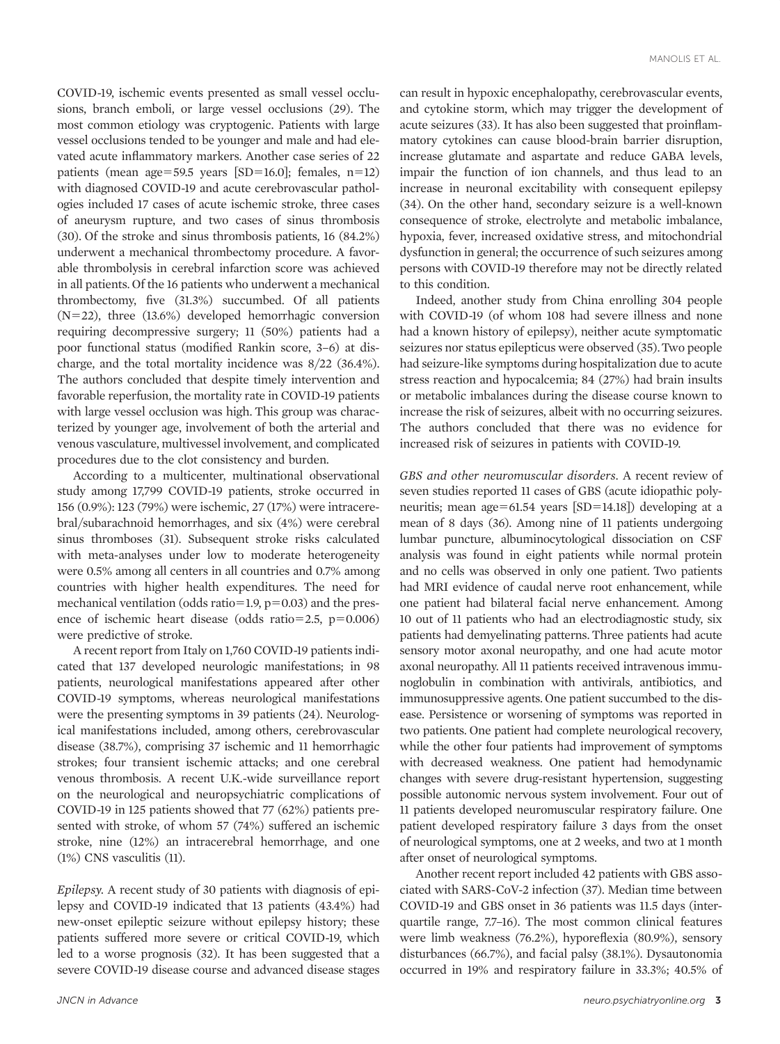COVID-19, ischemic events presented as small vessel occlusions, branch emboli, or large vessel occlusions [\(29\)](#page-12-0). The most common etiology was cryptogenic. Patients with large vessel occlusions tended to be younger and male and had elevated acute inflammatory markers. Another case series of 22 patients (mean age=59.5 years [SD=16.0]; females,  $n=12$ ) with diagnosed COVID-19 and acute cerebrovascular pathologies included 17 cases of acute ischemic stroke, three cases of aneurysm rupture, and two cases of sinus thrombosis [\(30\)](#page-12-0). Of the stroke and sinus thrombosis patients, 16 (84.2%) underwent a mechanical thrombectomy procedure. A favorable thrombolysis in cerebral infarction score was achieved in all patients. Of the 16 patients who underwent a mechanical thrombectomy, five (31.3%) succumbed. Of all patients  $(N=22)$ , three  $(13.6%)$  developed hemorrhagic conversion requiring decompressive surgery; 11 (50%) patients had a poor functional status (modified Rankin score, 3–6) at discharge, and the total mortality incidence was 8/22 (36.4%). The authors concluded that despite timely intervention and favorable reperfusion, the mortality rate in COVID-19 patients with large vessel occlusion was high. This group was characterized by younger age, involvement of both the arterial and venous vasculature, multivessel involvement, and complicated procedures due to the clot consistency and burden.

According to a multicenter, multinational observational study among 17,799 COVID-19 patients, stroke occurred in 156 (0.9%): 123 (79%) were ischemic, 27 (17%) were intracerebral/subarachnoid hemorrhages, and six (4%) were cerebral sinus thromboses ([31\)](#page-12-0). Subsequent stroke risks calculated with meta-analyses under low to moderate heterogeneity were 0.5% among all centers in all countries and 0.7% among countries with higher health expenditures. The need for mechanical ventilation (odds ratio=1.9,  $p=0.03$ ) and the presence of ischemic heart disease (odds ratio=2.5,  $p=0.006$ ) were predictive of stroke.

A recent report from Italy on 1,760 COVID-19 patients indicated that 137 developed neurologic manifestations; in 98 patients, neurological manifestations appeared after other COVID-19 symptoms, whereas neurological manifestations were the presenting symptoms in 39 patients [\(24\)](#page-12-0). Neurological manifestations included, among others, cerebrovascular disease (38.7%), comprising 37 ischemic and 11 hemorrhagic strokes; four transient ischemic attacks; and one cerebral venous thrombosis. A recent U.K.-wide surveillance report on the neurological and neuropsychiatric complications of COVID-19 in 125 patients showed that 77 (62%) patients presented with stroke, of whom 57 (74%) suffered an ischemic stroke, nine (12%) an intracerebral hemorrhage, and one (1%) CNS vasculitis ([11\)](#page-12-0).

Epilepsy. A recent study of 30 patients with diagnosis of epilepsy and COVID-19 indicated that 13 patients (43.4%) had new-onset epileptic seizure without epilepsy history; these patients suffered more severe or critical COVID-19, which led to a worse prognosis ([32\)](#page-12-0). It has been suggested that a severe COVID-19 disease course and advanced disease stages

can result in hypoxic encephalopathy, cerebrovascular events, and cytokine storm, which may trigger the development of acute seizures [\(33\)](#page-12-0). It has also been suggested that proinflammatory cytokines can cause blood-brain barrier disruption, increase glutamate and aspartate and reduce GABA levels, impair the function of ion channels, and thus lead to an increase in neuronal excitability with consequent epilepsy [\(34\)](#page-12-0). On the other hand, secondary seizure is a well-known consequence of stroke, electrolyte and metabolic imbalance, hypoxia, fever, increased oxidative stress, and mitochondrial dysfunction in general; the occurrence of such seizures among persons with COVID-19 therefore may not be directly related to this condition.

Indeed, another study from China enrolling 304 people with COVID-19 (of whom 108 had severe illness and none had a known history of epilepsy), neither acute symptomatic seizures nor status epilepticus were observed ([35\)](#page-12-0).Two people had seizure-like symptoms during hospitalization due to acute stress reaction and hypocalcemia; 84 (27%) had brain insults or metabolic imbalances during the disease course known to increase the risk of seizures, albeit with no occurring seizures. The authors concluded that there was no evidence for increased risk of seizures in patients with COVID-19.

GBS and other neuromuscular disorders. A recent review of seven studies reported 11 cases of GBS (acute idiopathic polyneuritis; mean age=61.54 years  $[SD=14.18]$ ) developing at a mean of 8 days [\(36\)](#page-12-0). Among nine of 11 patients undergoing lumbar puncture, albuminocytological dissociation on CSF analysis was found in eight patients while normal protein and no cells was observed in only one patient. Two patients had MRI evidence of caudal nerve root enhancement, while one patient had bilateral facial nerve enhancement. Among 10 out of 11 patients who had an electrodiagnostic study, six patients had demyelinating patterns. Three patients had acute sensory motor axonal neuropathy, and one had acute motor axonal neuropathy. All 11 patients received intravenous immunoglobulin in combination with antivirals, antibiotics, and immunosuppressive agents. One patient succumbed to the disease. Persistence or worsening of symptoms was reported in two patients. One patient had complete neurological recovery, while the other four patients had improvement of symptoms with decreased weakness. One patient had hemodynamic changes with severe drug-resistant hypertension, suggesting possible autonomic nervous system involvement. Four out of 11 patients developed neuromuscular respiratory failure. One patient developed respiratory failure 3 days from the onset of neurological symptoms, one at 2 weeks, and two at 1 month after onset of neurological symptoms.

Another recent report included 42 patients with GBS associated with SARS-CoV-2 infection [\(37](#page-12-0)). Median time between COVID-19 and GBS onset in 36 patients was 11.5 days (interquartile range, 7.7–16). The most common clinical features were limb weakness (76.2%), hyporeflexia (80.9%), sensory disturbances (66.7%), and facial palsy (38.1%). Dysautonomia occurred in 19% and respiratory failure in 33.3%; 40.5% of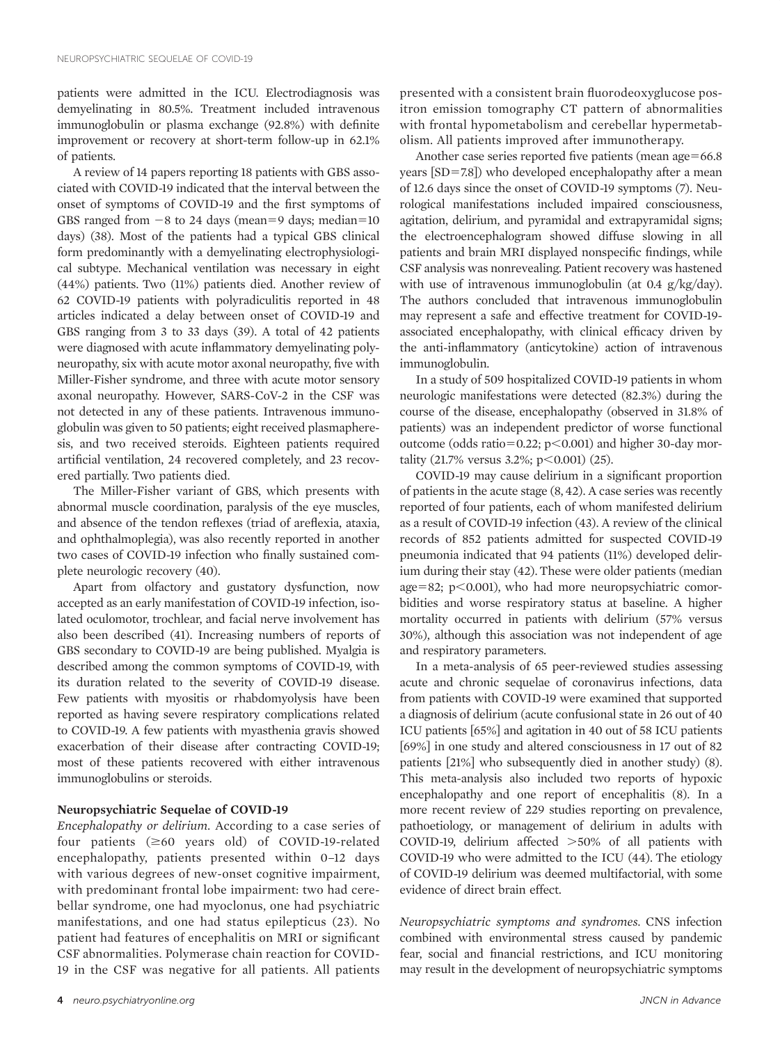patients were admitted in the ICU. Electrodiagnosis was demyelinating in 80.5%. Treatment included intravenous immunoglobulin or plasma exchange (92.8%) with definite improvement or recovery at short-term follow-up in 62.1% of patients.

A review of 14 papers reporting 18 patients with GBS associated with COVID-19 indicated that the interval between the onset of symptoms of COVID-19 and the first symptoms of GBS ranged from  $-8$  to 24 days (mean=9 days; median=10 days) [\(38](#page-12-0)). Most of the patients had a typical GBS clinical form predominantly with a demyelinating electrophysiological subtype. Mechanical ventilation was necessary in eight (44%) patients. Two (11%) patients died. Another review of 62 COVID-19 patients with polyradiculitis reported in 48 articles indicated a delay between onset of COVID-19 and GBS ranging from 3 to 33 days [\(39](#page-12-0)). A total of 42 patients were diagnosed with acute inflammatory demyelinating polyneuropathy, six with acute motor axonal neuropathy, five with Miller-Fisher syndrome, and three with acute motor sensory axonal neuropathy. However, SARS-CoV-2 in the CSF was not detected in any of these patients. Intravenous immunoglobulin was given to 50 patients; eight received plasmapheresis, and two received steroids. Eighteen patients required artificial ventilation, 24 recovered completely, and 23 recovered partially. Two patients died.

The Miller-Fisher variant of GBS, which presents with abnormal muscle coordination, paralysis of the eye muscles, and absence of the tendon reflexes (triad of areflexia, ataxia, and ophthalmoplegia), was also recently reported in another two cases of COVID-19 infection who finally sustained complete neurologic recovery [\(40](#page-12-0)).

Apart from olfactory and gustatory dysfunction, now accepted as an early manifestation of COVID-19 infection, isolated oculomotor, trochlear, and facial nerve involvement has also been described ([41](#page-12-0)). Increasing numbers of reports of GBS secondary to COVID-19 are being published. Myalgia is described among the common symptoms of COVID-19, with its duration related to the severity of COVID-19 disease. Few patients with myositis or rhabdomyolysis have been reported as having severe respiratory complications related to COVID-19. A few patients with myasthenia gravis showed exacerbation of their disease after contracting COVID-19; most of these patients recovered with either intravenous immunoglobulins or steroids.

## Neuropsychiatric Sequelae of COVID-19

Encephalopathy or delirium. According to a case series of four patients  $(\geq 60$  years old) of COVID-19-related encephalopathy, patients presented within 0–12 days with various degrees of new-onset cognitive impairment, with predominant frontal lobe impairment: two had cerebellar syndrome, one had myoclonus, one had psychiatric manifestations, and one had status epilepticus ([23\)](#page-12-0). No patient had features of encephalitis on MRI or significant CSF abnormalities. Polymerase chain reaction for COVID-19 in the CSF was negative for all patients. All patients

presented with a consistent brain fluorodeoxyglucose positron emission tomography CT pattern of abnormalities with frontal hypometabolism and cerebellar hypermetabolism. All patients improved after immunotherapy.

Another case series reported five patients (mean  $age=66.8$ ) years [SD=7.8]) who developed encephalopathy after a mean of 12.6 days since the onset of COVID-19 symptoms ([7](#page-11-0)). Neurological manifestations included impaired consciousness, agitation, delirium, and pyramidal and extrapyramidal signs; the electroencephalogram showed diffuse slowing in all patients and brain MRI displayed nonspecific findings, while CSF analysis was nonrevealing. Patient recovery was hastened with use of intravenous immunoglobulin (at 0.4 g/kg/day). The authors concluded that intravenous immunoglobulin may represent a safe and effective treatment for COVID-19 associated encephalopathy, with clinical efficacy driven by the anti-inflammatory (anticytokine) action of intravenous immunoglobulin.

In a study of 509 hospitalized COVID-19 patients in whom neurologic manifestations were detected (82.3%) during the course of the disease, encephalopathy (observed in 31.8% of patients) was an independent predictor of worse functional outcome (odds ratio=0.22;  $p<0.001$ ) and higher 30-day mortality (21.7% versus 3.2%;  $p<0.001$ ) [\(25\)](#page-12-0).

COVID-19 may cause delirium in a significant proportion of patients in the acute stage [\(8,](#page-11-0) [42\)](#page-12-0). A case series was recently reported of four patients, each of whom manifested delirium as a result of COVID-19 infection [\(43\)](#page-12-0). A review of the clinical records of 852 patients admitted for suspected COVID-19 pneumonia indicated that 94 patients (11%) developed delirium during their stay [\(42\)](#page-12-0). These were older patients (median age=82; p $<$ 0.001), who had more neuropsychiatric comorbidities and worse respiratory status at baseline. A higher mortality occurred in patients with delirium (57% versus 30%), although this association was not independent of age and respiratory parameters.

In a meta-analysis of 65 peer-reviewed studies assessing acute and chronic sequelae of coronavirus infections, data from patients with COVID-19 were examined that supported a diagnosis of delirium (acute confusional state in 26 out of 40 ICU patients [65%] and agitation in 40 out of 58 ICU patients [69%] in one study and altered consciousness in 17 out of 82 patients [21%] who subsequently died in another study) ([8\)](#page-11-0). This meta-analysis also included two reports of hypoxic encephalopathy and one report of encephalitis [\(8](#page-11-0)). In a more recent review of 229 studies reporting on prevalence, pathoetiology, or management of delirium in adults with COVID-19, delirium affected  $>50\%$  of all patients with COVID-19 who were admitted to the ICU [\(44](#page-12-0)). The etiology of COVID-19 delirium was deemed multifactorial, with some evidence of direct brain effect.

Neuropsychiatric symptoms and syndromes. CNS infection combined with environmental stress caused by pandemic fear, social and financial restrictions, and ICU monitoring may result in the development of neuropsychiatric symptoms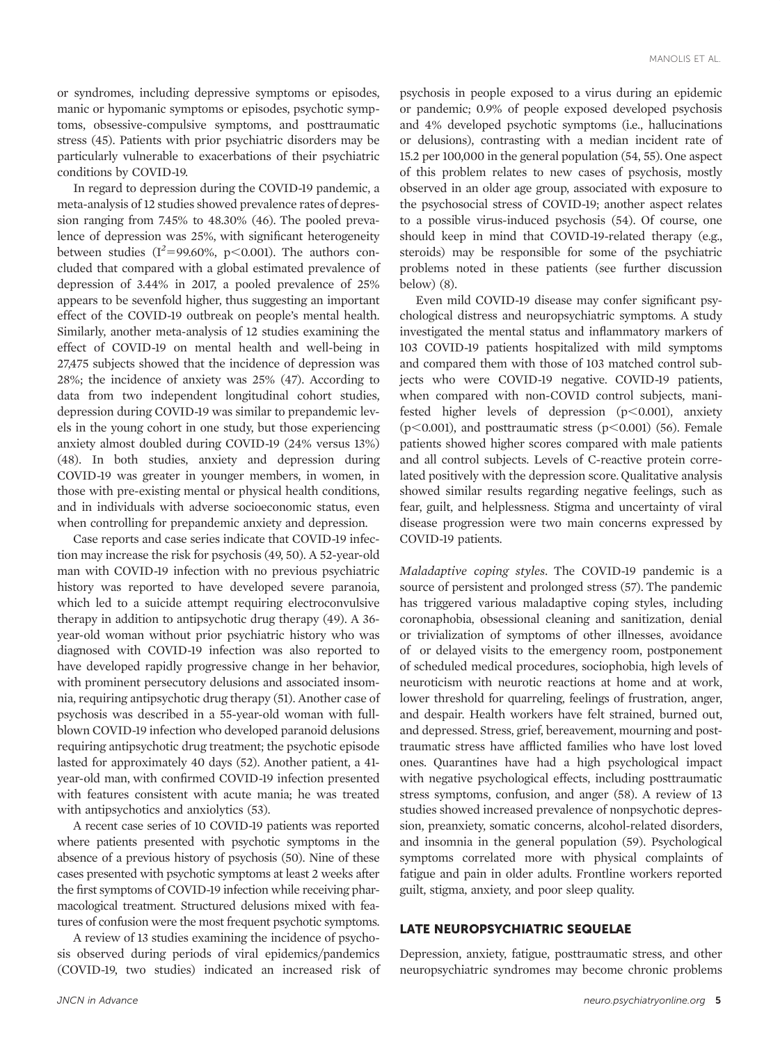or syndromes, including depressive symptoms or episodes, manic or hypomanic symptoms or episodes, psychotic symptoms, obsessive-compulsive symptoms, and posttraumatic stress ([45](#page-12-0)). Patients with prior psychiatric disorders may be particularly vulnerable to exacerbations of their psychiatric conditions by COVID-19.

In regard to depression during the COVID-19 pandemic, a meta-analysis of 12 studies showed prevalence rates of depression ranging from 7.45% to 48.30% [\(46\)](#page-12-0). The pooled prevalence of depression was 25%, with significant heterogeneity between studies ( $I^2$ =99.60%, p<0.001). The authors concluded that compared with a global estimated prevalence of depression of 3.44% in 2017, a pooled prevalence of 25% appears to be sevenfold higher, thus suggesting an important effect of the COVID-19 outbreak on people's mental health. Similarly, another meta-analysis of 12 studies examining the effect of COVID-19 on mental health and well-being in 27,475 subjects showed that the incidence of depression was 28%; the incidence of anxiety was 25% ([47\)](#page-12-0). According to data from two independent longitudinal cohort studies, depression during COVID-19 was similar to prepandemic levels in the young cohort in one study, but those experiencing anxiety almost doubled during COVID-19 (24% versus 13%) [\(48\)](#page-12-0). In both studies, anxiety and depression during COVID-19 was greater in younger members, in women, in those with pre-existing mental or physical health conditions, and in individuals with adverse socioeconomic status, even when controlling for prepandemic anxiety and depression.

Case reports and case series indicate that COVID-19 infection may increase the risk for psychosis [\(49,](#page-12-0) [50](#page-13-0)). A 52-year-old man with COVID-19 infection with no previous psychiatric history was reported to have developed severe paranoia, which led to a suicide attempt requiring electroconvulsive therapy in addition to antipsychotic drug therapy [\(49](#page-12-0)). A 36 year-old woman without prior psychiatric history who was diagnosed with COVID-19 infection was also reported to have developed rapidly progressive change in her behavior, with prominent persecutory delusions and associated insomnia, requiring antipsychotic drug therapy [\(51](#page-13-0)). Another case of psychosis was described in a 55-year-old woman with fullblown COVID-19 infection who developed paranoid delusions requiring antipsychotic drug treatment; the psychotic episode lasted for approximately 40 days [\(52\)](#page-13-0). Another patient, a 41 year-old man, with confirmed COVID-19 infection presented with features consistent with acute mania; he was treated with antipsychotics and anxiolytics ([53\)](#page-13-0).

A recent case series of 10 COVID-19 patients was reported where patients presented with psychotic symptoms in the absence of a previous history of psychosis [\(50\)](#page-13-0). Nine of these cases presented with psychotic symptoms at least 2 weeks after the first symptoms of COVID-19 infection while receiving pharmacological treatment. Structured delusions mixed with features of confusion were the most frequent psychotic symptoms.

A review of 13 studies examining the incidence of psychosis observed during periods of viral epidemics/pandemics (COVID-19, two studies) indicated an increased risk of

psychosis in people exposed to a virus during an epidemic or pandemic; 0.9% of people exposed developed psychosis and 4% developed psychotic symptoms (i.e., hallucinations or delusions), contrasting with a median incident rate of 15.2 per 100,000 in the general population [\(54, 55\)](#page-13-0). One aspect of this problem relates to new cases of psychosis, mostly observed in an older age group, associated with exposure to the psychosocial stress of COVID-19; another aspect relates to a possible virus-induced psychosis [\(54\)](#page-13-0). Of course, one should keep in mind that COVID-19-related therapy (e.g., steroids) may be responsible for some of the psychiatric problems noted in these patients (see further discussion below) [\(8\)](#page-11-0).

Even mild COVID-19 disease may confer significant psychological distress and neuropsychiatric symptoms. A study investigated the mental status and inflammatory markers of 103 COVID-19 patients hospitalized with mild symptoms and compared them with those of 103 matched control subjects who were COVID-19 negative. COVID-19 patients, when compared with non-COVID control subjects, manifested higher levels of depression  $(p<0.001)$ , anxiety ( $p$ <0.001), and posttraumatic stress ( $p$ <0.001) [\(56\)](#page-13-0). Female patients showed higher scores compared with male patients and all control subjects. Levels of C-reactive protein correlated positively with the depression score. Qualitative analysis showed similar results regarding negative feelings, such as fear, guilt, and helplessness. Stigma and uncertainty of viral disease progression were two main concerns expressed by COVID-19 patients.

Maladaptive coping styles. The COVID-19 pandemic is a source of persistent and prolonged stress ([57](#page-13-0)). The pandemic has triggered various maladaptive coping styles, including coronaphobia, obsessional cleaning and sanitization, denial or trivialization of symptoms of other illnesses, avoidance of or delayed visits to the emergency room, postponement of scheduled medical procedures, sociophobia, high levels of neuroticism with neurotic reactions at home and at work, lower threshold for quarreling, feelings of frustration, anger, and despair. Health workers have felt strained, burned out, and depressed. Stress, grief, bereavement, mourning and posttraumatic stress have afflicted families who have lost loved ones. Quarantines have had a high psychological impact with negative psychological effects, including posttraumatic stress symptoms, confusion, and anger ([58\)](#page-13-0). A review of 13 studies showed increased prevalence of nonpsychotic depression, preanxiety, somatic concerns, alcohol-related disorders, and insomnia in the general population [\(59](#page-13-0)). Psychological symptoms correlated more with physical complaints of fatigue and pain in older adults. Frontline workers reported guilt, stigma, anxiety, and poor sleep quality.

# LATE NEUROPSYCHIATRIC SEQUELAE

Depression, anxiety, fatigue, posttraumatic stress, and other neuropsychiatric syndromes may become chronic problems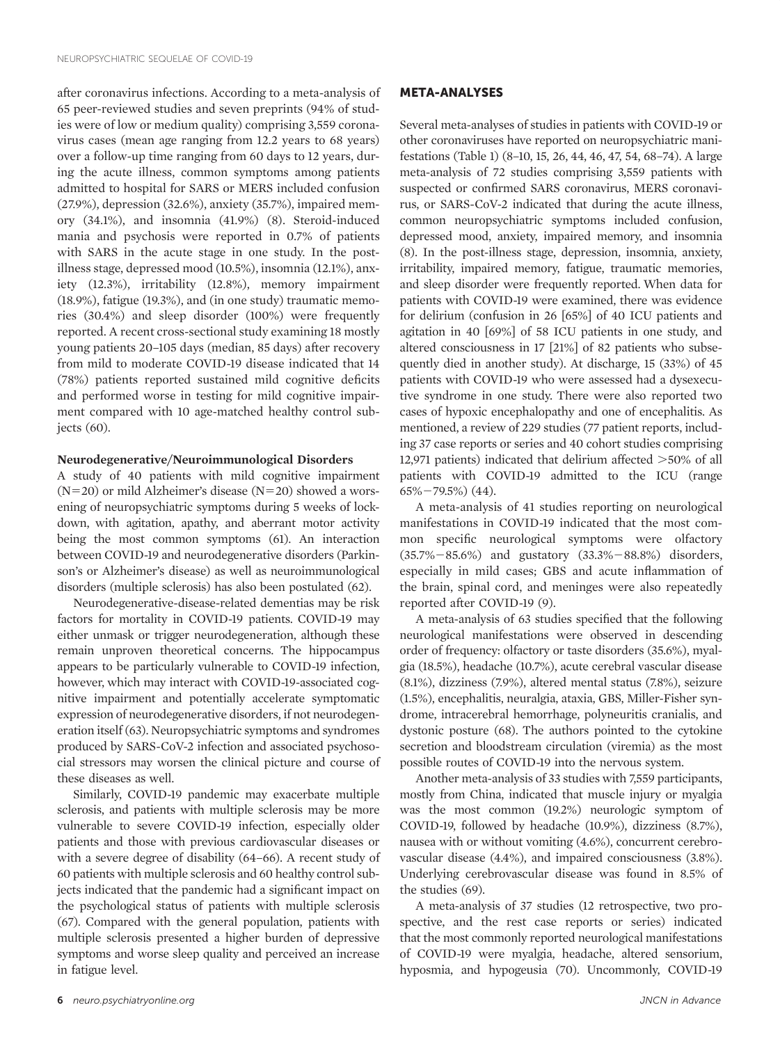after coronavirus infections. According to a meta-analysis of 65 peer-reviewed studies and seven preprints (94% of studies were of low or medium quality) comprising 3,559 coronavirus cases (mean age ranging from 12.2 years to 68 years) over a follow-up time ranging from 60 days to 12 years, during the acute illness, common symptoms among patients admitted to hospital for SARS or MERS included confusion (27.9%), depression (32.6%), anxiety (35.7%), impaired memory (34.1%), and insomnia (41.9%) ([8\)](#page-11-0). Steroid-induced mania and psychosis were reported in 0.7% of patients with SARS in the acute stage in one study. In the postillness stage, depressed mood (10.5%), insomnia (12.1%), anxiety (12.3%), irritability (12.8%), memory impairment (18.9%), fatigue (19.3%), and (in one study) traumatic memories (30.4%) and sleep disorder (100%) were frequently reported. A recent cross-sectional study examining 18 mostly young patients 20–105 days (median, 85 days) after recovery from mild to moderate COVID-19 disease indicated that 14 (78%) patients reported sustained mild cognitive deficits and performed worse in testing for mild cognitive impairment compared with 10 age-matched healthy control subjects [\(60\)](#page-13-0).

## Neurodegenerative/Neuroimmunological Disorders

A study of 40 patients with mild cognitive impairment  $(N=20)$  or mild Alzheimer's disease  $(N=20)$  showed a worsening of neuropsychiatric symptoms during 5 weeks of lockdown, with agitation, apathy, and aberrant motor activity being the most common symptoms ([61](#page-13-0)). An interaction between COVID-19 and neurodegenerative disorders (Parkinson's or Alzheimer's disease) as well as neuroimmunological disorders (multiple sclerosis) has also been postulated [\(62](#page-13-0)).

Neurodegenerative-disease-related dementias may be risk factors for mortality in COVID-19 patients. COVID-19 may either unmask or trigger neurodegeneration, although these remain unproven theoretical concerns. The hippocampus appears to be particularly vulnerable to COVID-19 infection, however, which may interact with COVID-19-associated cognitive impairment and potentially accelerate symptomatic expression of neurodegenerative disorders, if not neurodegeneration itself [\(63](#page-13-0)). Neuropsychiatric symptoms and syndromes produced by SARS-CoV-2 infection and associated psychosocial stressors may worsen the clinical picture and course of these diseases as well.

Similarly, COVID-19 pandemic may exacerbate multiple sclerosis, and patients with multiple sclerosis may be more vulnerable to severe COVID-19 infection, especially older patients and those with previous cardiovascular diseases or with a severe degree of disability [\(64](#page-13-0)[–](#page-13-0)[66\)](#page-13-0). A recent study of 60 patients with multiple sclerosis and 60 healthy control subjects indicated that the pandemic had a significant impact on the psychological status of patients with multiple sclerosis [\(67](#page-13-0)). Compared with the general population, patients with multiple sclerosis presented a higher burden of depressive symptoms and worse sleep quality and perceived an increase in fatigue level.

## META-ANALYSES

Several meta-analyses of studies in patients with COVID-19 or other coronaviruses have reported on neuropsychiatric manifestations [\(Table 1\)](#page-6-0) [\(8](#page-11-0)[–](#page-12-0)[10, 15](#page-12-0), [26](#page-12-0), [44](#page-12-0), [46](#page-12-0), [47,](#page-12-0) [54, 68](#page-13-0)[–](#page-13-0)[74](#page-13-0)). A large meta-analysis of 72 studies comprising 3,559 patients with suspected or confirmed SARS coronavirus, MERS coronavirus, or SARS-CoV-2 indicated that during the acute illness, common neuropsychiatric symptoms included confusion, depressed mood, anxiety, impaired memory, and insomnia [\(8\)](#page-11-0). In the post-illness stage, depression, insomnia, anxiety, irritability, impaired memory, fatigue, traumatic memories, and sleep disorder were frequently reported. When data for patients with COVID-19 were examined, there was evidence for delirium (confusion in 26 [65%] of 40 ICU patients and agitation in 40 [69%] of 58 ICU patients in one study, and altered consciousness in 17 [21%] of 82 patients who subsequently died in another study). At discharge, 15 (33%) of 45 patients with COVID-19 who were assessed had a dysexecutive syndrome in one study. There were also reported two cases of hypoxic encephalopathy and one of encephalitis. As mentioned, a review of 229 studies (77 patient reports, including 37 case reports or series and 40 cohort studies comprising 12,971 patients) indicated that delirium affected  $>50\%$  of all patients with COVID-19 admitted to the ICU (range  $65\% - 79.5\%$ ) [\(44\)](#page-12-0).

A meta-analysis of 41 studies reporting on neurological manifestations in COVID-19 indicated that the most common specific neurological symptoms were olfactory  $(35.7\% - 85.6\%)$  and gustatory  $(33.3\% - 88.8\%)$  disorders, especially in mild cases; GBS and acute inflammation of the brain, spinal cord, and meninges were also repeatedly reported after COVID-19 ([9\)](#page-12-0).

A meta-analysis of 63 studies specified that the following neurological manifestations were observed in descending order of frequency: olfactory or taste disorders (35.6%), myalgia (18.5%), headache (10.7%), acute cerebral vascular disease (8.1%), dizziness (7.9%), altered mental status (7.8%), seizure (1.5%), encephalitis, neuralgia, ataxia, GBS, Miller-Fisher syndrome, intracerebral hemorrhage, polyneuritis cranialis, and dystonic posture [\(68\)](#page-13-0). The authors pointed to the cytokine secretion and bloodstream circulation (viremia) as the most possible routes of COVID-19 into the nervous system.

Another meta-analysis of 33 studies with 7,559 participants, mostly from China, indicated that muscle injury or myalgia was the most common (19.2%) neurologic symptom of COVID-19, followed by headache (10.9%), dizziness (8.7%), nausea with or without vomiting (4.6%), concurrent cerebrovascular disease (4.4%), and impaired consciousness (3.8%). Underlying cerebrovascular disease was found in 8.5% of the studies [\(69\)](#page-13-0).

A meta-analysis of 37 studies (12 retrospective, two prospective, and the rest case reports or series) indicated that the most commonly reported neurological manifestations of COVID-19 were myalgia, headache, altered sensorium, hyposmia, and hypogeusia [\(70\)](#page-13-0). Uncommonly, COVID-19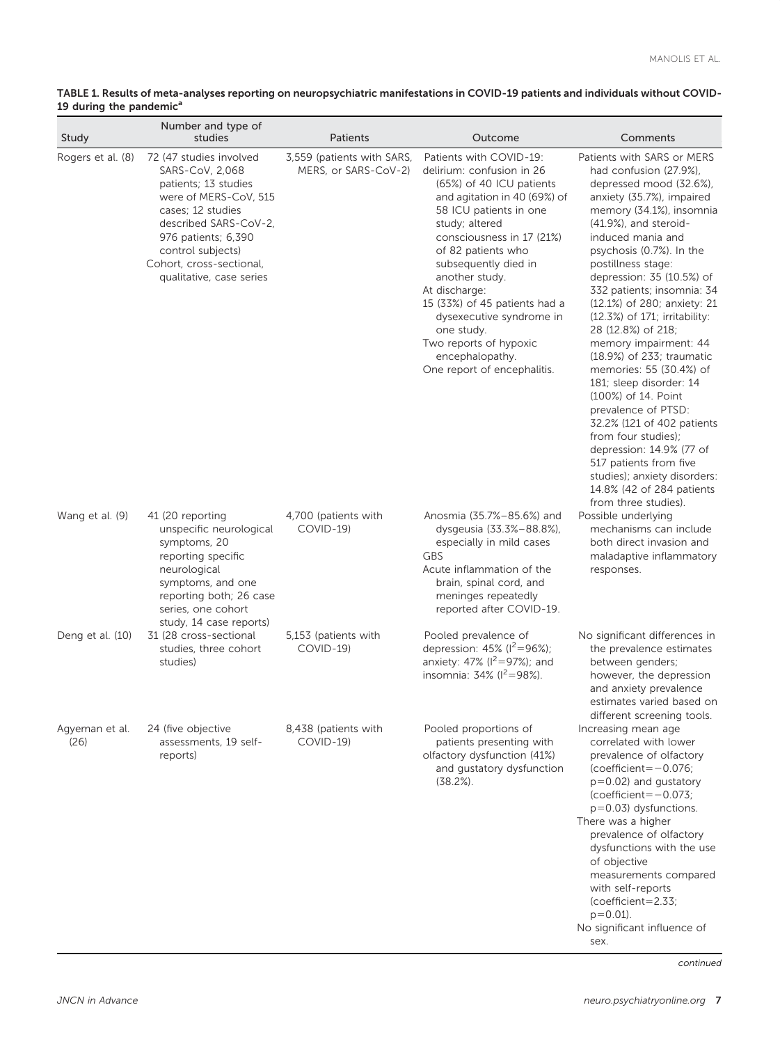<span id="page-6-0"></span>

| TABLE 1. Results of meta-analyses reporting on neuropsychiatric manifestations in COVID-19 patients and individuals without COVID- |  |
|------------------------------------------------------------------------------------------------------------------------------------|--|
| 19 during the pandemic <sup>a</sup>                                                                                                |  |

| Study                  | Number and type of<br>studies                                                                                                                                                                                                                 | <b>Patients</b>                                    | Outcome                                                                                                                                                                                                                                                                                                                                                                                                                           | Comments                                                                                                                                                                                                                                                                                                                                                                                                                                                                                                                                                                                                                                                                                                                                            |
|------------------------|-----------------------------------------------------------------------------------------------------------------------------------------------------------------------------------------------------------------------------------------------|----------------------------------------------------|-----------------------------------------------------------------------------------------------------------------------------------------------------------------------------------------------------------------------------------------------------------------------------------------------------------------------------------------------------------------------------------------------------------------------------------|-----------------------------------------------------------------------------------------------------------------------------------------------------------------------------------------------------------------------------------------------------------------------------------------------------------------------------------------------------------------------------------------------------------------------------------------------------------------------------------------------------------------------------------------------------------------------------------------------------------------------------------------------------------------------------------------------------------------------------------------------------|
| Rogers et al. (8)      | 72 (47 studies involved<br>SARS-CoV, 2,068<br>patients; 13 studies<br>were of MERS-CoV, 515<br>cases; 12 studies<br>described SARS-CoV-2,<br>976 patients; 6,390<br>control subjects)<br>Cohort, cross-sectional,<br>qualitative, case series | 3,559 (patients with SARS,<br>MERS, or SARS-CoV-2) | Patients with COVID-19:<br>delirium: confusion in 26<br>(65%) of 40 ICU patients<br>and agitation in 40 (69%) of<br>58 ICU patients in one<br>study; altered<br>consciousness in 17 (21%)<br>of 82 patients who<br>subsequently died in<br>another study.<br>At discharge:<br>15 (33%) of 45 patients had a<br>dysexecutive syndrome in<br>one study.<br>Two reports of hypoxic<br>encephalopathy.<br>One report of encephalitis. | Patients with SARS or MERS<br>had confusion (27.9%),<br>depressed mood (32.6%),<br>anxiety (35.7%), impaired<br>memory (34.1%), insomnia<br>(41.9%), and steroid-<br>induced mania and<br>psychosis (0.7%). In the<br>postillness stage:<br>depression: 35 (10.5%) of<br>332 patients; insomnia: 34<br>(12.1%) of 280; anxiety: 21<br>(12.3%) of 171; irritability:<br>28 (12.8%) of 218;<br>memory impairment: 44<br>(18.9%) of 233; traumatic<br>memories: 55 (30.4%) of<br>181; sleep disorder: 14<br>(100%) of 14. Point<br>prevalence of PTSD:<br>32.2% (121 of 402 patients<br>from four studies);<br>depression: 14.9% (77 of<br>517 patients from five<br>studies); anxiety disorders:<br>14.8% (42 of 284 patients<br>from three studies). |
| Wang et al. (9)        | 41 (20 reporting<br>unspecific neurological<br>symptoms, 20<br>reporting specific<br>neurological<br>symptoms, and one<br>reporting both; 26 case<br>series, one cohort<br>study, 14 case reports)                                            | 4,700 (patients with<br>COVID-19)                  | Anosmia (35.7%-85.6%) and<br>dysgeusia (33.3%-88.8%),<br>especially in mild cases<br><b>GBS</b><br>Acute inflammation of the<br>brain, spinal cord, and<br>meninges repeatedly<br>reported after COVID-19.                                                                                                                                                                                                                        | Possible underlying<br>mechanisms can include<br>both direct invasion and<br>maladaptive inflammatory<br>responses.                                                                                                                                                                                                                                                                                                                                                                                                                                                                                                                                                                                                                                 |
| Deng et al. (10)       | 31 (28 cross-sectional<br>studies, three cohort<br>studies)                                                                                                                                                                                   | 5,153 (patients with<br>COVID-19)                  | Pooled prevalence of<br>depression: $45\%$ ( $1^2 = 96\%$ );<br>anxiety: 47% ( $I^2 = 97$ %); and<br>insomnia: $34\%$ ( $I^2 = 98\%$ ).                                                                                                                                                                                                                                                                                           | No significant differences in<br>the prevalence estimates<br>between genders;<br>however, the depression<br>and anxiety prevalence<br>estimates varied based on<br>different screening tools.                                                                                                                                                                                                                                                                                                                                                                                                                                                                                                                                                       |
| Agyeman et al.<br>(26) | 24 (five objective<br>assessments, 19 self-<br>reports)                                                                                                                                                                                       | 8,438 (patients with<br>COVID-19)                  | Pooled proportions of<br>patients presenting with<br>olfactory dysfunction (41%)<br>and gustatory dysfunction<br>$(38.2\%)$ .                                                                                                                                                                                                                                                                                                     | Increasing mean age<br>correlated with lower<br>prevalence of olfactory<br>$(coefficient = -0.076)$<br>$p=0.02$ ) and qustatory<br>$(coefficient = -0.073)$<br>$p=0.03$ ) dysfunctions.<br>There was a higher<br>prevalence of olfactory<br>dysfunctions with the use<br>of objective<br>measurements compared<br>with self-reports<br>$(coefficient = 2.33)$<br>$p = 0.01$ ).<br>No significant influence of<br>sex.                                                                                                                                                                                                                                                                                                                               |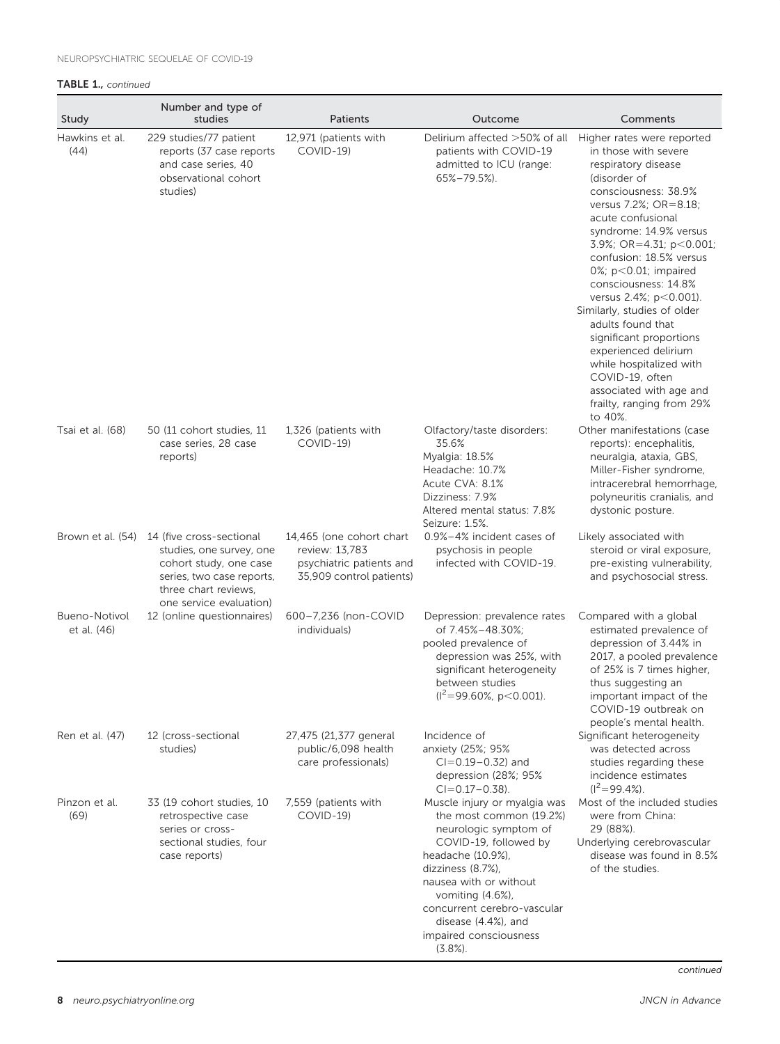## TABLE 1., continued

| Study                               | Number and type of<br>studies                                                                                                                                                    | Patients                                                                                           | Outcome                                                                                                                                                                                                                                                                                             | Comments                                                                                                                                                                                                                                                                                                                                                                                                                                                                                                                                             |
|-------------------------------------|----------------------------------------------------------------------------------------------------------------------------------------------------------------------------------|----------------------------------------------------------------------------------------------------|-----------------------------------------------------------------------------------------------------------------------------------------------------------------------------------------------------------------------------------------------------------------------------------------------------|------------------------------------------------------------------------------------------------------------------------------------------------------------------------------------------------------------------------------------------------------------------------------------------------------------------------------------------------------------------------------------------------------------------------------------------------------------------------------------------------------------------------------------------------------|
| Hawkins et al.<br>(44)              | 229 studies/77 patient<br>reports (37 case reports<br>and case series, 40<br>observational cohort<br>studies)                                                                    | 12,971 (patients with<br>COVID-19)                                                                 | Delirium affected >50% of all<br>patients with COVID-19<br>admitted to ICU (range:<br>$65\% - 79.5\%$ ).                                                                                                                                                                                            | Higher rates were reported<br>in those with severe<br>respiratory disease<br>(disorder of<br>consciousness: 38.9%<br>versus 7.2%; OR=8.18;<br>acute confusional<br>syndrome: 14.9% versus<br>3.9%; OR=4.31; p<0.001;<br>confusion: 18.5% versus<br>0%; $p<0.01$ ; impaired<br>consciousness: 14.8%<br>versus 2.4%; p<0.001).<br>Similarly, studies of older<br>adults found that<br>significant proportions<br>experienced delirium<br>while hospitalized with<br>COVID-19, often<br>associated with age and<br>frailty, ranging from 29%<br>to 40%. |
| Tsai et al. (68)                    | 50 (11 cohort studies, 11<br>case series, 28 case<br>reports)                                                                                                                    | 1,326 (patients with<br>COVID-19)                                                                  | Olfactory/taste disorders:<br>35.6%<br>Myalgia: 18.5%<br>Headache: 10.7%<br>Acute CVA: 8.1%<br>Dizziness: 7.9%<br>Altered mental status: 7.8%<br>Seizure: 1.5%.                                                                                                                                     | Other manifestations (case<br>reports): encephalitis,<br>neuralgia, ataxia, GBS,<br>Miller-Fisher syndrome,<br>intracerebral hemorrhage,<br>polyneuritis cranialis, and<br>dystonic posture.                                                                                                                                                                                                                                                                                                                                                         |
|                                     | Brown et al. (54) 14 (five cross-sectional<br>studies, one survey, one<br>cohort study, one case<br>series, two case reports,<br>three chart reviews,<br>one service evaluation) | 14,465 (one cohort chart<br>review: 13,783<br>psychiatric patients and<br>35,909 control patients) | 0.9%-4% incident cases of<br>psychosis in people<br>infected with COVID-19.                                                                                                                                                                                                                         | Likely associated with<br>steroid or viral exposure,<br>pre-existing vulnerability,<br>and psychosocial stress.                                                                                                                                                                                                                                                                                                                                                                                                                                      |
| <b>Bueno-Notivol</b><br>et al. (46) | 12 (online questionnaires)                                                                                                                                                       | 600-7,236 (non-COVID<br>individuals)                                                               | Depression: prevalence rates<br>of 7.45%-48.30%;<br>pooled prevalence of<br>depression was 25%, with<br>significant heterogeneity<br>between studies<br>$(I^2=99.60\%, p<0.001)$ .                                                                                                                  | Compared with a global<br>estimated prevalence of<br>depression of 3.44% in<br>2017, a pooled prevalence<br>of 25% is 7 times higher,<br>thus suggesting an<br>important impact of the<br>COVID-19 outbreak on<br>people's mental health.                                                                                                                                                                                                                                                                                                            |
| Ren et al. (47)                     | 12 (cross-sectional<br>studies)                                                                                                                                                  | 27,475 (21,377 general<br>public/6,098 health<br>care professionals)                               | Incidence of<br>anxiety (25%; 95%<br>$CI = 0.19 - 0.32$ ) and<br>depression (28%; 95%<br>$CI = 0.17 - 0.38$ ).                                                                                                                                                                                      | Significant heterogeneity<br>was detected across<br>studies regarding these<br>incidence estimates<br>$(I^2=99.4\%).$                                                                                                                                                                                                                                                                                                                                                                                                                                |
| Pinzon et al.<br>(69)               | 33 (19 cohort studies, 10<br>retrospective case<br>series or cross-<br>sectional studies, four<br>case reports)                                                                  | 7,559 (patients with<br>COVID-19)                                                                  | Muscle injury or myalgia was<br>the most common (19.2%)<br>neurologic symptom of<br>COVID-19, followed by<br>headache (10.9%),<br>dizziness (8.7%).<br>nausea with or without<br>vomiting $(4.6\%)$ ,<br>concurrent cerebro-vascular<br>disease (4.4%), and<br>impaired consciousness<br>$(3.8\%).$ | Most of the included studies<br>were from China:<br>29 (88%).<br>Underlying cerebrovascular<br>disease was found in 8.5%<br>of the studies.                                                                                                                                                                                                                                                                                                                                                                                                          |

8 [neuro.psychiatryonline.org](http://neuro.psychiatryonline.org) **Secure 2018** neuro.psychiatryonline.org

continued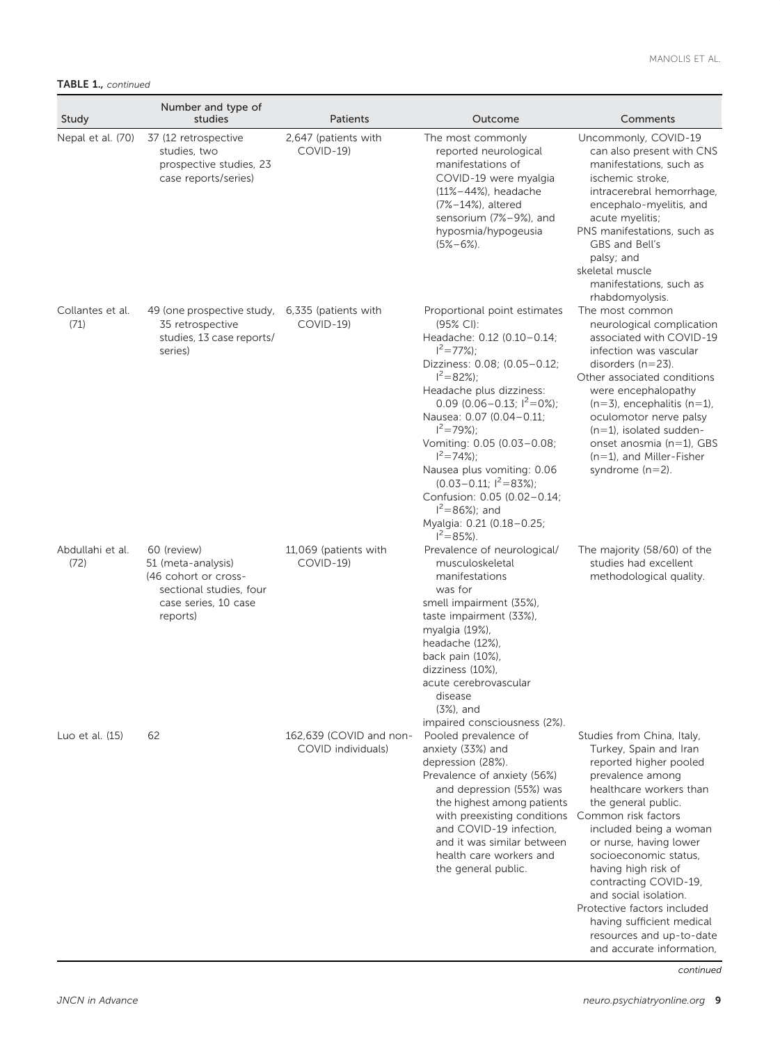TABLE 1., continued

| Study                    | Number and type of<br>studies                                                                                            | Patients                                      | Outcome                                                                                                                                                                                                                                                                                                                                                                                                                                                                            | Comments                                                                                                                                                                                                                                                                                                                                                                                                                                               |
|--------------------------|--------------------------------------------------------------------------------------------------------------------------|-----------------------------------------------|------------------------------------------------------------------------------------------------------------------------------------------------------------------------------------------------------------------------------------------------------------------------------------------------------------------------------------------------------------------------------------------------------------------------------------------------------------------------------------|--------------------------------------------------------------------------------------------------------------------------------------------------------------------------------------------------------------------------------------------------------------------------------------------------------------------------------------------------------------------------------------------------------------------------------------------------------|
| Nepal et al. (70)        | 37 (12 retrospective<br>studies, two<br>prospective studies, 23<br>case reports/series)                                  | 2,647 (patients with<br>COVID-19)             | The most commonly<br>reported neurological<br>manifestations of<br>COVID-19 were myalgia<br>$(11% - 44%)$ , headache<br>(7%-14%), altered<br>sensorium (7%-9%), and<br>hyposmia/hypogeusia<br>$(5\% - 6\%)$ .                                                                                                                                                                                                                                                                      | Uncommonly, COVID-19<br>can also present with CNS<br>manifestations, such as<br>ischemic stroke.<br>intracerebral hemorrhage,<br>encephalo-myelitis, and<br>acute myelitis;<br>PNS manifestations, such as<br>GBS and Bell's<br>palsy; and<br>skeletal muscle<br>manifestations, such as<br>rhabdomyolysis.                                                                                                                                            |
| Collantes et al.<br>(71) | 49 (one prospective study,<br>35 retrospective<br>studies, 13 case reports/<br>series)                                   | 6,335 (patients with<br>COVID-19)             | Proportional point estimates<br>$(95\% \text{ Cl})$ :<br>Headache: 0.12 (0.10-0.14;<br>$1^2$ = 77%):<br>Dizziness: 0.08; (0.05-0.12;<br>$1^2 = 82\%)$<br>Headache plus dizziness:<br>0.09 (0.06-0.13; $I^2=0\%$ );<br>Nausea: 0.07 (0.04-0.11;<br>$1^2$ = 79%);<br>Vomiting: 0.05 (0.03-0.08;<br>$1^2$ = 74%):<br>Nausea plus vomiting: 0.06<br>$(0.03 - 0.11; 1^2 = 83\%)$ ;<br>Confusion: 0.05 (0.02-0.14;<br>$I^2 = 86\%$ ; and<br>Myalgia: 0.21 (0.18-0.25;<br>$I^2 = 85\%$ ). | The most common<br>neurological complication<br>associated with COVID-19<br>infection was vascular<br>disorders $(n=23)$ .<br>Other associated conditions<br>were encephalopathy<br>$(n=3)$ , encephalitis $(n=1)$ ,<br>oculomotor nerve palsy<br>$(n=1)$ , isolated sudden-<br>onset anosmia $(n=1)$ , GBS<br>$(n=1)$ , and Miller-Fisher<br>syndrome $(n=2)$ .                                                                                       |
| Abdullahi et al.<br>(72) | 60 (review)<br>51 (meta-analysis)<br>(46 cohort or cross-<br>sectional studies, four<br>case series, 10 case<br>reports) | 11,069 (patients with<br>COVID-19)            | Prevalence of neurological/<br>musculoskeletal<br>manifestations<br>was for<br>smell impairment (35%),<br>taste impairment (33%),<br>myalgia (19%),<br>headache (12%),<br>back pain (10%),<br>dizziness (10%),<br>acute cerebrovascular<br>disease<br>$(3%)$ , and<br>impaired consciousness (2%).                                                                                                                                                                                 | The majority (58/60) of the<br>studies had excellent<br>methodological quality.                                                                                                                                                                                                                                                                                                                                                                        |
| Luo et al. (15)          | 62                                                                                                                       | 162.639 (COVID and non-<br>COVID individuals) | Pooled prevalence of<br>anxiety (33%) and<br>depression (28%).<br>Prevalence of anxiety (56%)<br>and depression (55%) was<br>the highest among patients<br>with preexisting conditions<br>and COVID-19 infection,<br>and it was similar between<br>health care workers and<br>the general public.                                                                                                                                                                                  | Studies from China, Italy,<br>Turkey, Spain and Iran<br>reported higher pooled<br>prevalence among<br>healthcare workers than<br>the general public.<br>Common risk factors<br>included being a woman<br>or nurse, having lower<br>socioeconomic status,<br>having high risk of<br>contracting COVID-19,<br>and social isolation.<br>Protective factors included<br>having sufficient medical<br>resources and up-to-date<br>and accurate information, |

continued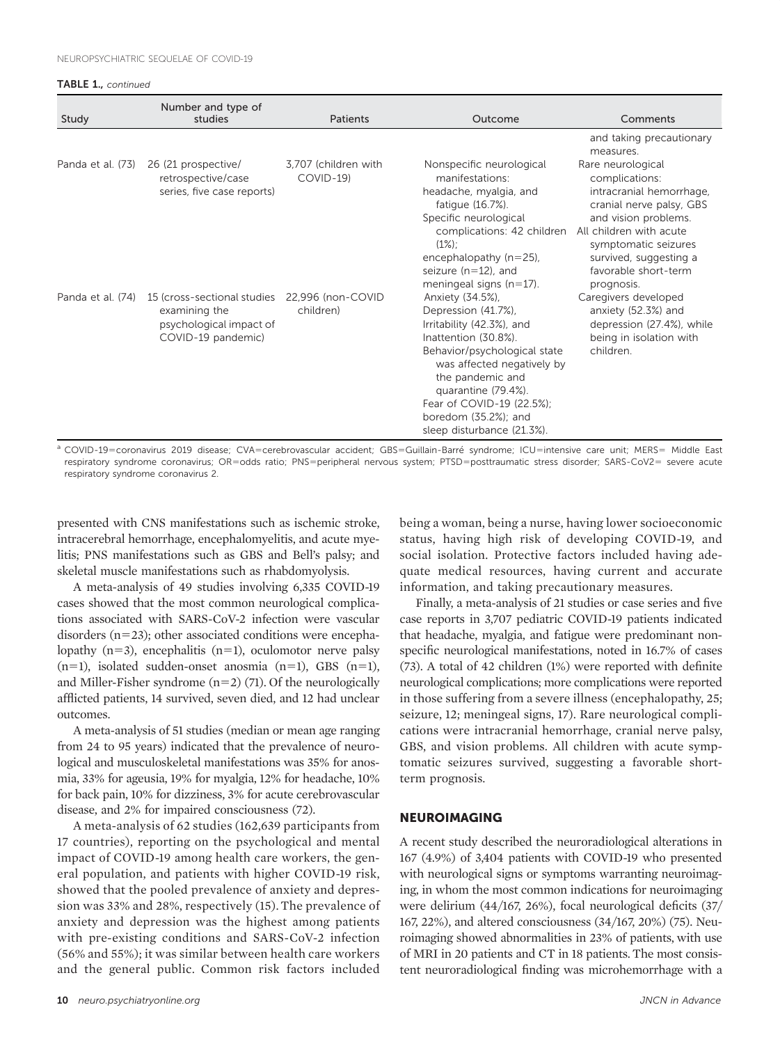#### TABLE 1., continued

| Study             | Number and type of<br>studies                                                                 | Patients                          | Outcome                                                                                                                                                                                                                                                                                  | Comments                                                                                                                                                                                                                               |
|-------------------|-----------------------------------------------------------------------------------------------|-----------------------------------|------------------------------------------------------------------------------------------------------------------------------------------------------------------------------------------------------------------------------------------------------------------------------------------|----------------------------------------------------------------------------------------------------------------------------------------------------------------------------------------------------------------------------------------|
|                   |                                                                                               |                                   |                                                                                                                                                                                                                                                                                          | and taking precautionary<br>measures.                                                                                                                                                                                                  |
| Panda et al. (73) | 26 (21 prospective/<br>retrospective/case<br>series, five case reports)                       | 3,707 (children with<br>COVID-19) | Nonspecific neurological<br>manifestations:<br>headache, myalgia, and<br>fatique (16.7%).<br>Specific neurological<br>complications: 42 children<br>$(1\%)$<br>encephalopathy $(n=25)$ ,<br>seizure $(n=12)$ , and<br>meningeal signs $(n=17)$ .                                         | Rare neurological<br>complications:<br>intracranial hemorrhage,<br>cranial nerve palsy, GBS<br>and vision problems.<br>All children with acute<br>symptomatic seizures<br>survived, suggesting a<br>favorable short-term<br>prognosis. |
| Panda et al. (74) | 15 (cross-sectional studies<br>examining the<br>psychological impact of<br>COVID-19 pandemic) | 22,996 (non-COVID<br>children)    | Anxiety (34.5%),<br>Depression (41.7%),<br>Irritability (42.3%), and<br>Inattention (30.8%).<br>Behavior/psychological state<br>was affected negatively by<br>the pandemic and<br>quarantine (79.4%).<br>Fear of COVID-19 (22.5%);<br>boredom (35.2%); and<br>sleep disturbance (21.3%). | Caregivers developed<br>anxiety (52.3%) and<br>depression (27.4%), while<br>being in isolation with<br>children.                                                                                                                       |

<sup>a</sup> COVID-19=coronavirus 2019 disease; CVA=cerebrovascular accident; GBS=Guillain-Barré syndrome; ICU=intensive care unit; MERS= Middle East respiratory syndrome coronavirus; OR=odds ratio; PNS=peripheral nervous system; PTSD=posttraumatic stress disorder; SARS-CoV2= severe acute respiratory syndrome coronavirus 2.

presented with CNS manifestations such as ischemic stroke, intracerebral hemorrhage, encephalomyelitis, and acute myelitis; PNS manifestations such as GBS and Bell's palsy; and skeletal muscle manifestations such as rhabdomyolysis.

A meta-analysis of 49 studies involving 6,335 COVID-19 cases showed that the most common neurological complications associated with SARS-CoV-2 infection were vascular disorders ( $n=23$ ); other associated conditions were encephalopathy  $(n=3)$ , encephalitis  $(n=1)$ , oculomotor nerve palsy  $(n=1)$ , isolated sudden-onset anosmia  $(n=1)$ , GBS  $(n=1)$ , and Miller-Fisher syndrome  $(n=2)$  ([71\)](#page-13-0). Of the neurologically afflicted patients, 14 survived, seven died, and 12 had unclear outcomes.

A meta-analysis of 51 studies (median or mean age ranging from 24 to 95 years) indicated that the prevalence of neurological and musculoskeletal manifestations was 35% for anosmia, 33% for ageusia, 19% for myalgia, 12% for headache, 10% for back pain, 10% for dizziness, 3% for acute cerebrovascular disease, and 2% for impaired consciousness [\(72](#page-13-0)).

A meta-analysis of 62 studies (162,639 participants from 17 countries), reporting on the psychological and mental impact of COVID-19 among health care workers, the general population, and patients with higher COVID-19 risk, showed that the pooled prevalence of anxiety and depression was 33% and 28%, respectively ([15\)](#page-12-0).The prevalence of anxiety and depression was the highest among patients with pre-existing conditions and SARS-CoV-2 infection (56% and 55%); it was similar between health care workers and the general public. Common risk factors included

10 [neuro.psychiatryonline.org](http://neuro.psychiatryonline.org) and the state of the state of the state of the state of the state of the state of the state of the state of the state of the state of the state of the state of the state of the state of the st

being a woman, being a nurse, having lower socioeconomic status, having high risk of developing COVID-19, and social isolation. Protective factors included having adequate medical resources, having current and accurate information, and taking precautionary measures.

Finally, a meta-analysis of 21 studies or case series and five case reports in 3,707 pediatric COVID-19 patients indicated that headache, myalgia, and fatigue were predominant nonspecific neurological manifestations, noted in 16.7% of cases [\(73\)](#page-13-0). A total of 42 children (1%) were reported with definite neurological complications; more complications were reported in those suffering from a severe illness (encephalopathy, 25; seizure, 12; meningeal signs, 17). Rare neurological complications were intracranial hemorrhage, cranial nerve palsy, GBS, and vision problems. All children with acute symptomatic seizures survived, suggesting a favorable shortterm prognosis.

## NEUROIMAGING

A recent study described the neuroradiological alterations in 167 (4.9%) of 3,404 patients with COVID-19 who presented with neurological signs or symptoms warranting neuroimaging, in whom the most common indications for neuroimaging were delirium (44/167, 26%), focal neurological deficits (37/ 167, 22%), and altered consciousness (34/167, 20%) [\(75](#page-13-0)). Neuroimaging showed abnormalities in 23% of patients, with use of MRI in 20 patients and CT in 18 patients. The most consistent neuroradiological finding was microhemorrhage with a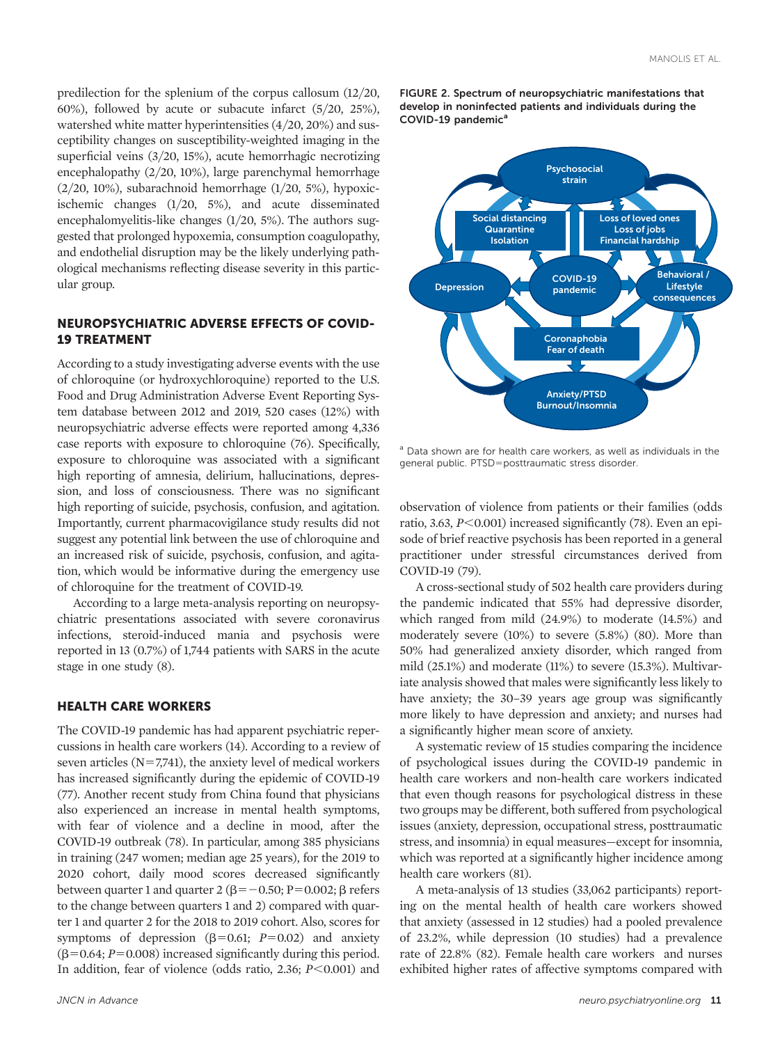<span id="page-10-0"></span>predilection for the splenium of the corpus callosum (12/20, 60%), followed by acute or subacute infarct (5/20, 25%), watershed white matter hyperintensities (4/20, 20%) and susceptibility changes on susceptibility-weighted imaging in the superficial veins (3/20, 15%), acute hemorrhagic necrotizing encephalopathy (2/20, 10%), large parenchymal hemorrhage  $(2/20, 10\%)$ , subarachnoid hemorrhage  $(1/20, 5\%)$ , hypoxicischemic changes (1/20, 5%), and acute disseminated encephalomyelitis-like changes (1/20, 5%). The authors suggested that prolonged hypoxemia, consumption coagulopathy, and endothelial disruption may be the likely underlying pathological mechanisms reflecting disease severity in this particular group.

# NEUROPSYCHIATRIC ADVERSE EFFECTS OF COVID-19 TREATMENT

According to a study investigating adverse events with the use of chloroquine (or hydroxychloroquine) reported to the U.S. Food and Drug Administration Adverse Event Reporting System database between 2012 and 2019, 520 cases (12%) with neuropsychiatric adverse effects were reported among 4,336 case reports with exposure to chloroquine [\(76](#page-13-0)). Specifically, exposure to chloroquine was associated with a significant high reporting of amnesia, delirium, hallucinations, depression, and loss of consciousness. There was no significant high reporting of suicide, psychosis, confusion, and agitation. Importantly, current pharmacovigilance study results did not suggest any potential link between the use of chloroquine and an increased risk of suicide, psychosis, confusion, and agitation, which would be informative during the emergency use of chloroquine for the treatment of COVID-19.

According to a large meta-analysis reporting on neuropsychiatric presentations associated with severe coronavirus infections, steroid-induced mania and psychosis were reported in 13 (0.7%) of 1,744 patients with SARS in the acute stage in one study [\(8\)](#page-11-0).

## HEALTH CARE WORKERS

The COVID-19 pandemic has had apparent psychiatric repercussions in health care workers [\(14\)](#page-12-0). According to a review of seven articles  $(N=7,741)$ , the anxiety level of medical workers has increased significantly during the epidemic of COVID-19 [\(77\)](#page-13-0). Another recent study from China found that physicians also experienced an increase in mental health symptoms, with fear of violence and a decline in mood, after the COVID-19 outbreak [\(78](#page-13-0)). In particular, among 385 physicians in training (247 women; median age 25 years), for the 2019 to 2020 cohort, daily mood scores decreased significantly between quarter 1 and quarter 2 ( $\beta$ = -0.50; P=0.002;  $\beta$  refers to the change between quarters 1 and 2) compared with quarter 1 and quarter 2 for the 2018 to 2019 cohort. Also, scores for symptoms of depression  $(\beta=0.61; P=0.02)$  and anxiety  $(\beta=0.64; P=0.008)$  increased significantly during this period. In addition, fear of violence (odds ratio, 2.36;  $P<0.001$ ) and

FIGURE 2. Spectrum of neuropsychiatric manifestations that develop in noninfected patients and individuals during the COVID-19 pandemic<sup>a</sup>



<sup>a</sup> Data shown are for health care workers, as well as individuals in the general public. PTSD=posttraumatic stress disorder.

observation of violence from patients or their families (odds ratio, 3.63,  $P \le 0.001$ ) increased significantly [\(78](#page-13-0)). Even an episode of brief reactive psychosis has been reported in a general practitioner under stressful circumstances derived from COVID-19 ([79\)](#page-13-0).

A cross-sectional study of 502 health care providers during the pandemic indicated that 55% had depressive disorder, which ranged from mild (24.9%) to moderate (14.5%) and moderately severe (10%) to severe (5.8%) [\(80\)](#page-13-0). More than 50% had generalized anxiety disorder, which ranged from mild (25.1%) and moderate (11%) to severe (15.3%). Multivariate analysis showed that males were significantly less likely to have anxiety; the 30–39 years age group was significantly more likely to have depression and anxiety; and nurses had a significantly higher mean score of anxiety.

A systematic review of 15 studies comparing the incidence of psychological issues during the COVID-19 pandemic in health care workers and non-health care workers indicated that even though reasons for psychological distress in these two groups may be different, both suffered from psychological issues (anxiety, depression, occupational stress, posttraumatic stress, and insomnia) in equal measures—except for insomnia, which was reported at a significantly higher incidence among health care workers [\(81](#page-13-0)).

A meta-analysis of 13 studies (33,062 participants) reporting on the mental health of health care workers showed that anxiety (assessed in 12 studies) had a pooled prevalence of 23.2%, while depression (10 studies) had a prevalence rate of 22.8% [\(82\)](#page-13-0). Female health care workers and nurses exhibited higher rates of affective symptoms compared with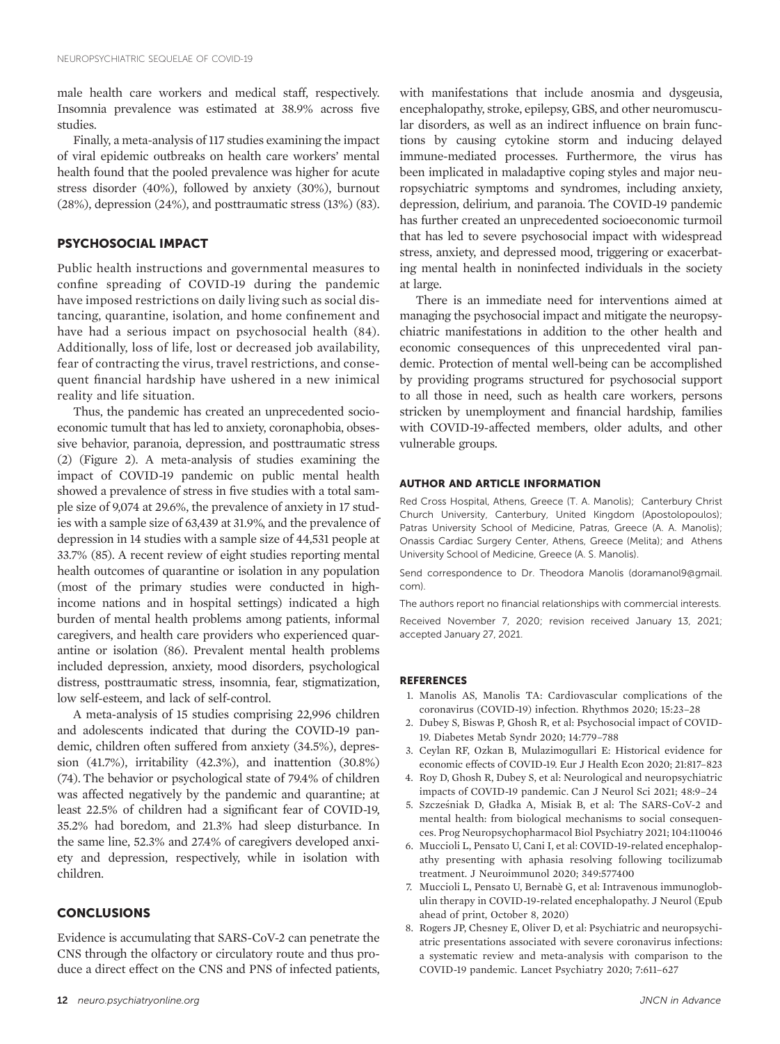<span id="page-11-0"></span>male health care workers and medical staff, respectively. Insomnia prevalence was estimated at 38.9% across five studies.

Finally, a meta-analysis of 117 studies examining the impact of viral epidemic outbreaks on health care workers' mental health found that the pooled prevalence was higher for acute stress disorder (40%), followed by anxiety (30%), burnout (28%), depression (24%), and posttraumatic stress (13%) [\(83](#page-13-0)).

## PSYCHOSOCIAL IMPACT

Public health instructions and governmental measures to confine spreading of COVID-19 during the pandemic have imposed restrictions on daily living such as social distancing, quarantine, isolation, and home confinement and have had a serious impact on psychosocial health ([84](#page-13-0)). Additionally, loss of life, lost or decreased job availability, fear of contracting the virus, travel restrictions, and consequent financial hardship have ushered in a new inimical reality and life situation.

Thus, the pandemic has created an unprecedented socioeconomic tumult that has led to anxiety, coronaphobia, obsessive behavior, paranoia, depression, and posttraumatic stress (2) ([Figure 2](#page-10-0)). A meta-analysis of studies examining the impact of COVID-19 pandemic on public mental health showed a prevalence of stress in five studies with a total sample size of 9,074 at 29.6%, the prevalence of anxiety in 17 studies with a sample size of 63,439 at 31.9%, and the prevalence of depression in 14 studies with a sample size of 44,531 people at 33.7% [\(85\)](#page-13-0). A recent review of eight studies reporting mental health outcomes of quarantine or isolation in any population (most of the primary studies were conducted in highincome nations and in hospital settings) indicated a high burden of mental health problems among patients, informal caregivers, and health care providers who experienced quarantine or isolation [\(86](#page-13-0)). Prevalent mental health problems included depression, anxiety, mood disorders, psychological distress, posttraumatic stress, insomnia, fear, stigmatization, low self-esteem, and lack of self-control.

A meta-analysis of 15 studies comprising 22,996 children and adolescents indicated that during the COVID-19 pandemic, children often suffered from anxiety (34.5%), depression (41.7%), irritability (42.3%), and inattention (30.8%) [\(74](#page-13-0)). The behavior or psychological state of 79.4% of children was affected negatively by the pandemic and quarantine; at least 22.5% of children had a significant fear of COVID-19, 35.2% had boredom, and 21.3% had sleep disturbance. In the same line, 52.3% and 27.4% of caregivers developed anxiety and depression, respectively, while in isolation with children.

## **CONCLUSIONS**

Evidence is accumulating that SARS-CoV-2 can penetrate the CNS through the olfactory or circulatory route and thus produce a direct effect on the CNS and PNS of infected patients, with manifestations that include anosmia and dysgeusia, encephalopathy, stroke, epilepsy, GBS, and other neuromuscular disorders, as well as an indirect influence on brain functions by causing cytokine storm and inducing delayed immune-mediated processes. Furthermore, the virus has been implicated in maladaptive coping styles and major neuropsychiatric symptoms and syndromes, including anxiety, depression, delirium, and paranoia. The COVID-19 pandemic has further created an unprecedented socioeconomic turmoil that has led to severe psychosocial impact with widespread stress, anxiety, and depressed mood, triggering or exacerbating mental health in noninfected individuals in the society at large.

There is an immediate need for interventions aimed at managing the psychosocial impact and mitigate the neuropsychiatric manifestations in addition to the other health and economic consequences of this unprecedented viral pandemic. Protection of mental well-being can be accomplished by providing programs structured for psychosocial support to all those in need, such as health care workers, persons stricken by unemployment and financial hardship, families with COVID-19-affected members, older adults, and other vulnerable groups.

## AUTHOR AND ARTICLE INFORMATION

Red Cross Hospital, Athens, Greece (T. A. Manolis); Canterbury Christ Church University, Canterbury, United Kingdom (Apostolopoulos); Patras University School of Medicine, Patras, Greece (A. A. Manolis); Onassis Cardiac Surgery Center, Athens, Greece (Melita); and Athens University School of Medicine, Greece (A. S. Manolis).

Send correspondence to Dr. Theodora Manolis ([doramanol9@gmail.](mailto:doramanol9@gmail.com) [com](mailto:doramanol9@gmail.com)).

The authors report no financial relationships with commercial interests. Received November 7, 2020; revision received January 13, 2021; accepted January 27, 2021.

## REFERENCES

- 1. Manolis AS, Manolis TA: Cardiovascular complications of the coronavirus (COVID-19) infection. Rhythmos 2020; 15:23–28
- 2. Dubey S, Biswas P, Ghosh R, et al: Psychosocial impact of COVID-19. Diabetes Metab Syndr 2020; 14:779–788
- 3. Ceylan RF, Ozkan B, Mulazimogullari E: Historical evidence for economic effects of COVID-19. Eur J Health Econ 2020; 21:817–823
- 4. Roy D, Ghosh R, Dubey S, et al: Neurological and neuropsychiatric impacts of COVID-19 pandemic. Can J Neurol Sci 2021; 48:9–24
- 5. Szczesniak D, Gładka A, Misiak B, et al: The SARS-CoV-2 and mental health: from biological mechanisms to social consequences. Prog Neuropsychopharmacol Biol Psychiatry 2021; 104:110046
- 6. Muccioli L, Pensato U, Cani I, et al: COVID-19-related encephalopathy presenting with aphasia resolving following tocilizumab treatment. J Neuroimmunol 2020; 349:577400
- 7. Muccioli L, Pensato U, Bernabe G, et al: Intravenous immunoglobulin therapy in COVID-19-related encephalopathy. J Neurol (Epub ahead of print, October 8, 2020)
- 8. Rogers JP, Chesney E, Oliver D, et al: Psychiatric and neuropsychiatric presentations associated with severe coronavirus infections: a systematic review and meta-analysis with comparison to the COVID-19 pandemic. Lancet Psychiatry 2020; 7:611–627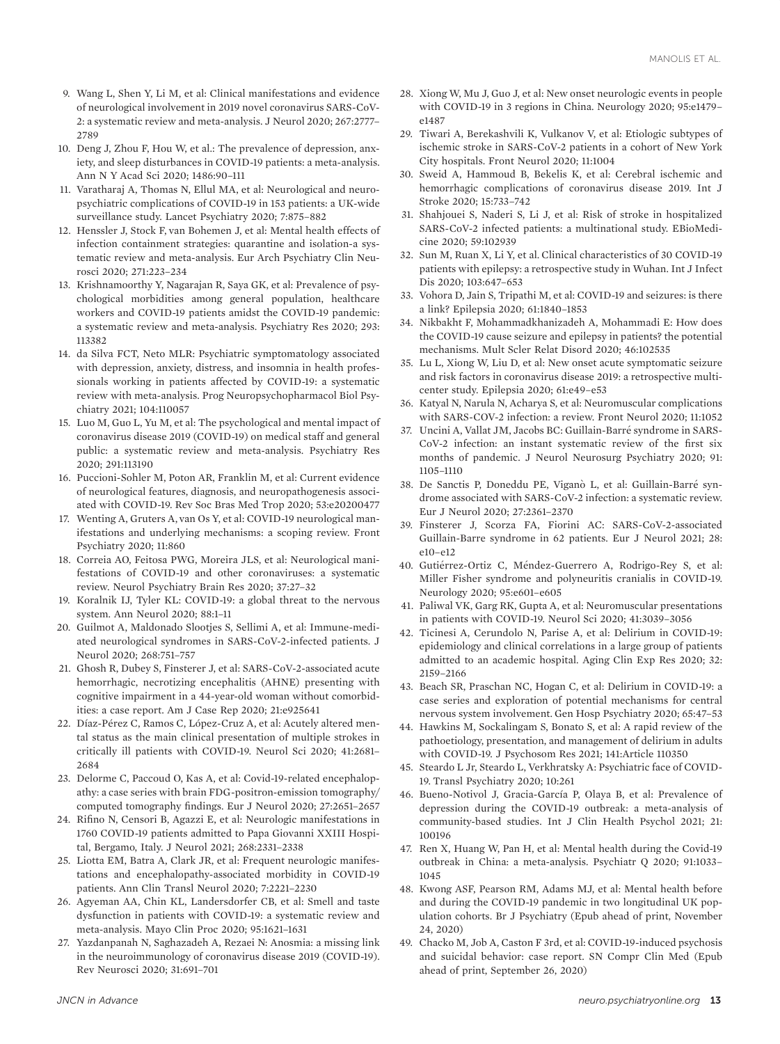- <span id="page-12-0"></span>9. Wang L, Shen Y, Li M, et al: Clinical manifestations and evidence of neurological involvement in 2019 novel coronavirus SARS-CoV-2: a systematic review and meta-analysis. J Neurol 2020; 267:2777– 2789
- 10. Deng J, Zhou F, Hou W, et al.: The prevalence of depression, anxiety, and sleep disturbances in COVID-19 patients: a meta-analysis. Ann N Y Acad Sci 2020; 1486:90–111
- 11. Varatharaj A, Thomas N, Ellul MA, et al: Neurological and neuropsychiatric complications of COVID-19 in 153 patients: a UK-wide surveillance study. Lancet Psychiatry 2020; 7:875–882
- 12. Henssler J, Stock F, van Bohemen J, et al: Mental health effects of infection containment strategies: quarantine and isolation-a systematic review and meta-analysis. Eur Arch Psychiatry Clin Neurosci 2020; 271:223–234
- 13. Krishnamoorthy Y, Nagarajan R, Saya GK, et al: Prevalence of psychological morbidities among general population, healthcare workers and COVID-19 patients amidst the COVID-19 pandemic: a systematic review and meta-analysis. Psychiatry Res 2020; 293: 113382
- 14. da Silva FCT, Neto MLR: Psychiatric symptomatology associated with depression, anxiety, distress, and insomnia in health professionals working in patients affected by COVID-19: a systematic review with meta-analysis. Prog Neuropsychopharmacol Biol Psychiatry 2021; 104:110057
- 15. Luo M, Guo L, Yu M, et al: The psychological and mental impact of coronavirus disease 2019 (COVID-19) on medical staff and general public: a systematic review and meta-analysis. Psychiatry Res 2020; 291:113190
- 16. Puccioni-Sohler M, Poton AR, Franklin M, et al: Current evidence of neurological features, diagnosis, and neuropathogenesis associated with COVID-19. Rev Soc Bras Med Trop 2020; 53:e20200477
- 17. Wenting A, Gruters A, van Os Y, et al: COVID-19 neurological manifestations and underlying mechanisms: a scoping review. Front Psychiatry 2020; 11:860
- 18. Correia AO, Feitosa PWG, Moreira JLS, et al: Neurological manifestations of COVID-19 and other coronaviruses: a systematic review. Neurol Psychiatry Brain Res 2020; 37:27–32
- 19. Koralnik IJ, Tyler KL: COVID-19: a global threat to the nervous system. Ann Neurol 2020; 88:1–11
- 20. Guilmot A, Maldonado Slootjes S, Sellimi A, et al: Immune-mediated neurological syndromes in SARS-CoV-2-infected patients. J Neurol 2020; 268:751–757
- 21. Ghosh R, Dubey S, Finsterer J, et al: SARS-CoV-2-associated acute hemorrhagic, necrotizing encephalitis (AHNE) presenting with cognitive impairment in a 44-year-old woman without comorbidities: a case report. Am J Case Rep 2020; 21:e925641
- 22. Díaz-Pérez C, Ramos C, López-Cruz A, et al: Acutely altered mental status as the main clinical presentation of multiple strokes in critically ill patients with COVID-19. Neurol Sci 2020; 41:2681– 2684
- 23. Delorme C, Paccoud O, Kas A, et al: Covid-19-related encephalopathy: a case series with brain FDG-positron-emission tomography/ computed tomography findings. Eur J Neurol 2020; 27:2651–2657
- 24. Rifino N, Censori B, Agazzi E, et al: Neurologic manifestations in 1760 COVID-19 patients admitted to Papa Giovanni XXIII Hospital, Bergamo, Italy. J Neurol 2021; 268:2331–2338
- 25. Liotta EM, Batra A, Clark JR, et al: Frequent neurologic manifestations and encephalopathy-associated morbidity in COVID-19 patients. Ann Clin Transl Neurol 2020; 7:2221–2230
- 26. Agyeman AA, Chin KL, Landersdorfer CB, et al: Smell and taste dysfunction in patients with COVID-19: a systematic review and meta-analysis. Mayo Clin Proc 2020; 95:1621–1631
- 27. Yazdanpanah N, Saghazadeh A, Rezaei N: Anosmia: a missing link in the neuroimmunology of coronavirus disease 2019 (COVID-19). Rev Neurosci 2020; 31:691–701
- 28. Xiong W, Mu J, Guo J, et al: New onset neurologic events in people with COVID-19 in 3 regions in China. Neurology 2020; 95:e1479– e1487
- 29. Tiwari A, Berekashvili K, Vulkanov V, et al: Etiologic subtypes of ischemic stroke in SARS-CoV-2 patients in a cohort of New York City hospitals. Front Neurol 2020; 11:1004
- 30. Sweid A, Hammoud B, Bekelis K, et al: Cerebral ischemic and hemorrhagic complications of coronavirus disease 2019. Int J Stroke 2020; 15:733–742
- 31. Shahjouei S, Naderi S, Li J, et al: Risk of stroke in hospitalized SARS-CoV-2 infected patients: a multinational study. EBioMedicine 2020; 59:102939
- 32. Sun M, Ruan X, Li Y, et al. Clinical characteristics of 30 COVID-19 patients with epilepsy: a retrospective study in Wuhan. Int J Infect Dis 2020; 103:647–653
- 33. Vohora D, Jain S, Tripathi M, et al: COVID-19 and seizures: is there a link? Epilepsia 2020; 61:1840–1853
- 34. Nikbakht F, Mohammadkhanizadeh A, Mohammadi E: How does the COVID-19 cause seizure and epilepsy in patients? the potential mechanisms. Mult Scler Relat Disord 2020; 46:102535
- 35. Lu L, Xiong W, Liu D, et al: New onset acute symptomatic seizure and risk factors in coronavirus disease 2019: a retrospective multicenter study. Epilepsia 2020; 61:e49–e53
- 36. Katyal N, Narula N, Acharya S, et al: Neuromuscular complications with SARS-COV-2 infection: a review. Front Neurol 2020; 11:1052
- 37. Uncini A, Vallat JM, Jacobs BC: Guillain-Barre syndrome in SARS-CoV-2 infection: an instant systematic review of the first six months of pandemic. J Neurol Neurosurg Psychiatry 2020; 91: 1105–1110
- 38. De Sanctis P, Doneddu PE, Viganò L, et al: Guillain-Barré syndrome associated with SARS-CoV-2 infection: a systematic review. Eur J Neurol 2020; 27:2361–2370
- 39. Finsterer J, Scorza FA, Fiorini AC: SARS-CoV-2-associated Guillain-Barre syndrome in 62 patients. Eur J Neurol 2021; 28: e10–e12
- 40. Gutiérrez-Ortiz C, Méndez-Guerrero A, Rodrigo-Rey S, et al: Miller Fisher syndrome and polyneuritis cranialis in COVID-19. Neurology 2020; 95:e601–e605
- 41. Paliwal VK, Garg RK, Gupta A, et al: Neuromuscular presentations in patients with COVID-19. Neurol Sci 2020; 41:3039–3056
- 42. Ticinesi A, Cerundolo N, Parise A, et al: Delirium in COVID-19: epidemiology and clinical correlations in a large group of patients admitted to an academic hospital. Aging Clin Exp Res 2020; 32: 2159–2166
- 43. Beach SR, Praschan NC, Hogan C, et al: Delirium in COVID-19: a case series and exploration of potential mechanisms for central nervous system involvement. Gen Hosp Psychiatry 2020; 65:47–53
- 44. Hawkins M, Sockalingam S, Bonato S, et al: A rapid review of the pathoetiology, presentation, and management of delirium in adults with COVID-19. J Psychosom Res 2021; 141:Article 110350
- 45. Steardo L Jr, Steardo L, Verkhratsky A: Psychiatric face of COVID-19. Transl Psychiatry 2020; 10:261
- 46. Bueno-Notivol J, Gracia-García P, Olaya B, et al: Prevalence of depression during the COVID-19 outbreak: a meta-analysis of community-based studies. Int J Clin Health Psychol 2021; 21: 100196
- 47. Ren X, Huang W, Pan H, et al: Mental health during the Covid-19 outbreak in China: a meta-analysis. Psychiatr Q 2020; 91:1033– 1045
- 48. Kwong ASF, Pearson RM, Adams MJ, et al: Mental health before and during the COVID-19 pandemic in two longitudinal UK population cohorts. Br J Psychiatry (Epub ahead of print, November 24, 2020)
- 49. Chacko M, Job A, Caston F 3rd, et al: COVID-19-induced psychosis and suicidal behavior: case report. SN Compr Clin Med (Epub ahead of print, September 26, 2020)